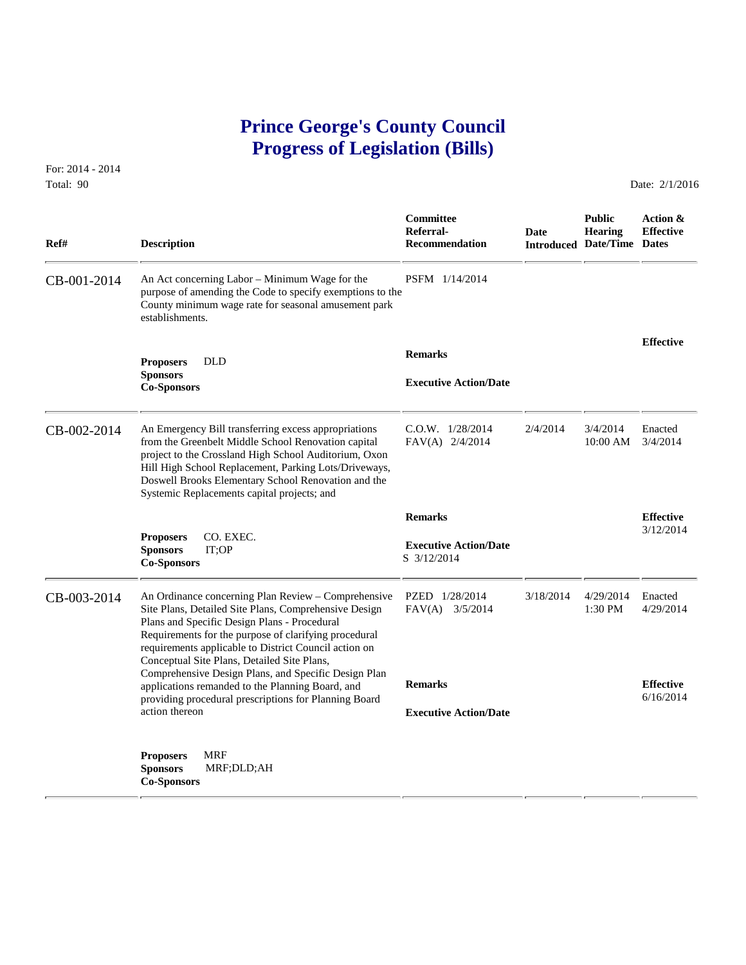## **Prince George's County Council Progress of Legislation (Bills)**

For: 2014 - 2014 Total: 90 Date: 2/1/2016

 **Committee Public Action & Referral- Date Hearing Effective Ref# Description Recommendation Introduced Date/Time Dates** CB-001-2014 An Act concerning Labor – Minimum Wage for the PSFM 1/14/2014 purpose of amending the Code to specify exemptions to the County minimum wage rate for seasonal amusement park establishments. **Effective Remarks Proposers** DLD **Sponsors Executive Action/Date Co-Sponsors**  CB-002-2014 An Emergency Bill transferring excess appropriations C.O.W. 1/28/2014 2/4/2014 3/4/2014 Enacted from the Greenbelt Middle School Renovation capital FAV(A) 2/4/2014 10:00 AM 3/4/2014 from the Greenbelt Middle School Renovation capital project to the Crossland High School Auditorium, Oxon Hill High School Replacement, Parking Lots/Driveways, Doswell Brooks Elementary School Renovation and the Systemic Replacements capital projects; and  **Remarks Effective** 3/12/2014 **Proposers** CO. EXEC.  **Executive Action/Date Sponsors** IT;OP S 3/12/2014 **Co-Sponsors**  CB-003-2014 An Ordinance concerning Plan Review – Comprehensive PZED 1/28/2014 3/18/2014 4/29/2014 Enacted<br>Site Plans, Detailed Site Plans, Comprehensive Design FAV(A) 3/5/2014 1:30 PM 4/29/2014 Site Plans, Detailed Site Plans, Comprehensive Design Plans and Specific Design Plans - Procedural Requirements for the purpose of clarifying procedural requirements applicable to District Council action on Conceptual Site Plans, Detailed Site Plans, Comprehensive Design Plans, and Specific Design Plan applications remanded to the Planning Board, and **Remarks Effective**<br>
providing procedural prescriptions for Planning Board 6/16/2014 providing procedural prescriptions for Planning Board action thereon **Executive Action/Date Proposers** MRF **Sponsors** MRF;DLD;AH **Co-Sponsors**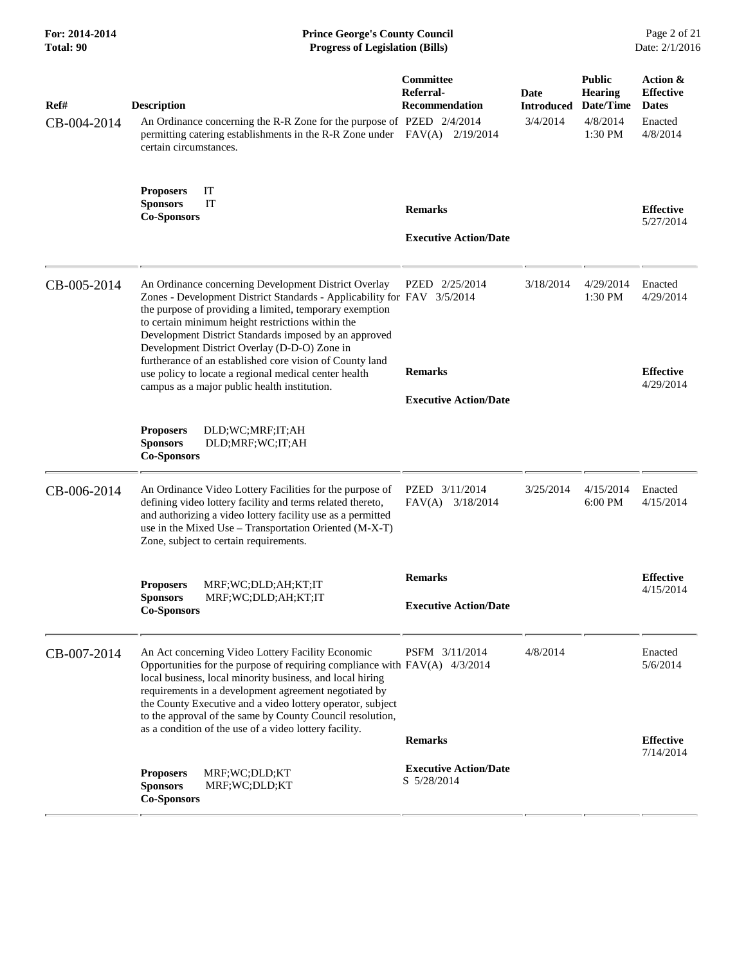| For: 2014-2014<br><b>Total: 90</b> | <b>Prince George's County Council</b><br><b>Progress of Legislation (Bills)</b>                                                                                                                                                                                                                                                                                                                                                                                                                                               |                                                                  |                                       | Page 2 of 21<br>Date: 2/1/2016                                      |                                                                     |
|------------------------------------|-------------------------------------------------------------------------------------------------------------------------------------------------------------------------------------------------------------------------------------------------------------------------------------------------------------------------------------------------------------------------------------------------------------------------------------------------------------------------------------------------------------------------------|------------------------------------------------------------------|---------------------------------------|---------------------------------------------------------------------|---------------------------------------------------------------------|
| Ref#<br>CB-004-2014                | <b>Description</b><br>An Ordinance concerning the R-R Zone for the purpose of PZED 2/4/2014<br>permitting catering establishments in the R-R Zone under FAV(A) 2/19/2014<br>certain circumstances.                                                                                                                                                                                                                                                                                                                            | <b>Committee</b><br>Referral-<br><b>Recommendation</b>           | Date<br><b>Introduced</b><br>3/4/2014 | <b>Public</b><br><b>Hearing</b><br>Date/Time<br>4/8/2014<br>1:30 PM | Action &<br><b>Effective</b><br><b>Dates</b><br>Enacted<br>4/8/2014 |
|                                    | IT<br><b>Proposers</b><br>IT<br><b>Sponsors</b><br><b>Co-Sponsors</b>                                                                                                                                                                                                                                                                                                                                                                                                                                                         | <b>Remarks</b><br><b>Executive Action/Date</b>                   |                                       |                                                                     | <b>Effective</b><br>5/27/2014                                       |
| CB-005-2014                        | An Ordinance concerning Development District Overlay<br>Zones - Development District Standards - Applicability for FAV 3/5/2014<br>the purpose of providing a limited, temporary exemption<br>to certain minimum height restrictions within the<br>Development District Standards imposed by an approved<br>Development District Overlay (D-D-O) Zone in<br>furtherance of an established core vision of County land<br>use policy to locate a regional medical center health<br>campus as a major public health institution. | PZED 2/25/2014<br><b>Remarks</b><br><b>Executive Action/Date</b> | 3/18/2014                             | 4/29/2014<br>1:30 PM                                                | Enacted<br>4/29/2014<br><b>Effective</b><br>4/29/2014               |
|                                    | DLD;WC;MRF;IT;AH<br><b>Proposers</b><br><b>Sponsors</b><br>DLD;MRF;WC;IT;AH<br><b>Co-Sponsors</b>                                                                                                                                                                                                                                                                                                                                                                                                                             |                                                                  |                                       |                                                                     |                                                                     |
| CB-006-2014                        | An Ordinance Video Lottery Facilities for the purpose of<br>defining video lottery facility and terms related thereto,<br>and authorizing a video lottery facility use as a permitted<br>use in the Mixed Use - Transportation Oriented (M-X-T)<br>Zone, subject to certain requirements.                                                                                                                                                                                                                                     | PZED 3/11/2014<br>$FAV(A)$ 3/18/2014                             | 3/25/2014                             | 4/15/2014<br>6:00 PM                                                | Enacted<br>4/15/2014                                                |
|                                    | MRF;WC;DLD;AH;KT;IT<br><b>Proposers</b><br><b>Sponsors</b><br>MRF;WC;DLD;AH;KT;IT<br><b>Co-Sponsors</b>                                                                                                                                                                                                                                                                                                                                                                                                                       | <b>Remarks</b><br><b>Executive Action/Date</b>                   |                                       |                                                                     | <b>Effective</b><br>4/15/2014                                       |
| CB-007-2014                        | An Act concerning Video Lottery Facility Economic<br>Opportunities for the purpose of requiring compliance with $FAV(A)$ 4/3/2014<br>local business, local minority business, and local hiring<br>requirements in a development agreement negotiated by<br>the County Executive and a video lottery operator, subject<br>to the approval of the same by County Council resolution,<br>as a condition of the use of a video lottery facility.                                                                                  | PSFM 3/11/2014                                                   | 4/8/2014                              |                                                                     | Enacted<br>5/6/2014                                                 |
|                                    | <b>Proposers</b><br>MRF;WC;DLD;KT<br>MRF;WC;DLD;KT<br><b>Sponsors</b><br><b>Co-Sponsors</b>                                                                                                                                                                                                                                                                                                                                                                                                                                   | <b>Remarks</b><br><b>Executive Action/Date</b><br>S 5/28/2014    |                                       |                                                                     | <b>Effective</b><br>7/14/2014                                       |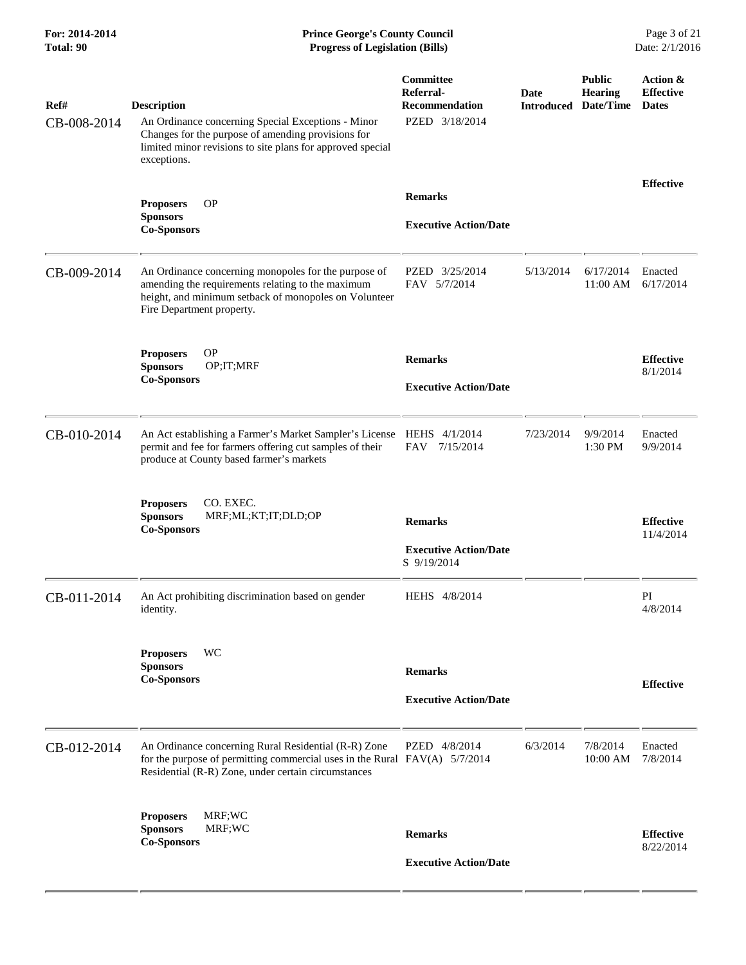| Ref#        | <b>Description</b>                                                                                                                                                                              | Committee<br>Referral-<br>Recommendation                      | <b>Date</b><br><b>Introduced</b> | <b>Public</b><br><b>Hearing</b><br>Date/Time | Action &<br><b>Effective</b><br><b>Dates</b> |
|-------------|-------------------------------------------------------------------------------------------------------------------------------------------------------------------------------------------------|---------------------------------------------------------------|----------------------------------|----------------------------------------------|----------------------------------------------|
| CB-008-2014 | An Ordinance concerning Special Exceptions - Minor<br>Changes for the purpose of amending provisions for<br>limited minor revisions to site plans for approved special<br>exceptions.           | PZED 3/18/2014                                                |                                  |                                              |                                              |
|             | <b>OP</b>                                                                                                                                                                                       | <b>Remarks</b>                                                |                                  |                                              | <b>Effective</b>                             |
|             | <b>Proposers</b><br><b>Sponsors</b><br><b>Co-Sponsors</b>                                                                                                                                       | <b>Executive Action/Date</b>                                  |                                  |                                              |                                              |
| CB-009-2014 | An Ordinance concerning monopoles for the purpose of<br>amending the requirements relating to the maximum<br>height, and minimum setback of monopoles on Volunteer<br>Fire Department property. | PZED 3/25/2014<br>FAV 5/7/2014                                | 5/13/2014                        | 6/17/2014<br>11:00 AM                        | Enacted<br>6/17/2014                         |
|             | <b>OP</b><br><b>Proposers</b><br><b>Sponsors</b><br>OP;IT;MRF                                                                                                                                   | <b>Remarks</b>                                                |                                  |                                              | <b>Effective</b><br>8/1/2014                 |
|             | <b>Co-Sponsors</b>                                                                                                                                                                              | <b>Executive Action/Date</b>                                  |                                  |                                              |                                              |
| CB-010-2014 | An Act establishing a Farmer's Market Sampler's License HEHS 4/1/2014<br>permit and fee for farmers offering cut samples of their<br>produce at County based farmer's markets                   | 7/15/2014<br><b>FAV</b>                                       | 7/23/2014                        | 9/9/2014<br>1:30 PM                          | Enacted<br>9/9/2014                          |
|             | CO. EXEC.<br><b>Proposers</b><br><b>Sponsors</b><br>MRF;ML;KT;IT;DLD;OP<br><b>Co-Sponsors</b>                                                                                                   | <b>Remarks</b><br><b>Executive Action/Date</b><br>S 9/19/2014 |                                  |                                              | <b>Effective</b><br>11/4/2014                |
| CB-011-2014 | An Act prohibiting discrimination based on gender<br>identity.                                                                                                                                  | HEHS 4/8/2014                                                 |                                  |                                              | PI<br>4/8/2014                               |
|             | WC<br><b>Proposers</b><br><b>Sponsors</b><br><b>Co-Sponsors</b>                                                                                                                                 | <b>Remarks</b>                                                |                                  |                                              | <b>Effective</b>                             |
|             |                                                                                                                                                                                                 | <b>Executive Action/Date</b>                                  |                                  |                                              |                                              |
| CB-012-2014 | An Ordinance concerning Rural Residential (R-R) Zone<br>for the purpose of permitting commercial uses in the Rural $FAV(A)$ 5/7/2014<br>Residential (R-R) Zone, under certain circumstances     | PZED 4/8/2014                                                 | 6/3/2014                         | 7/8/2014<br>10:00 AM                         | Enacted<br>7/8/2014                          |
|             | MRF;WC<br><b>Proposers</b><br>MRF;WC<br><b>Sponsors</b><br><b>Co-Sponsors</b>                                                                                                                   | <b>Remarks</b>                                                |                                  |                                              | <b>Effective</b><br>8/22/2014                |
|             |                                                                                                                                                                                                 | <b>Executive Action/Date</b>                                  |                                  |                                              |                                              |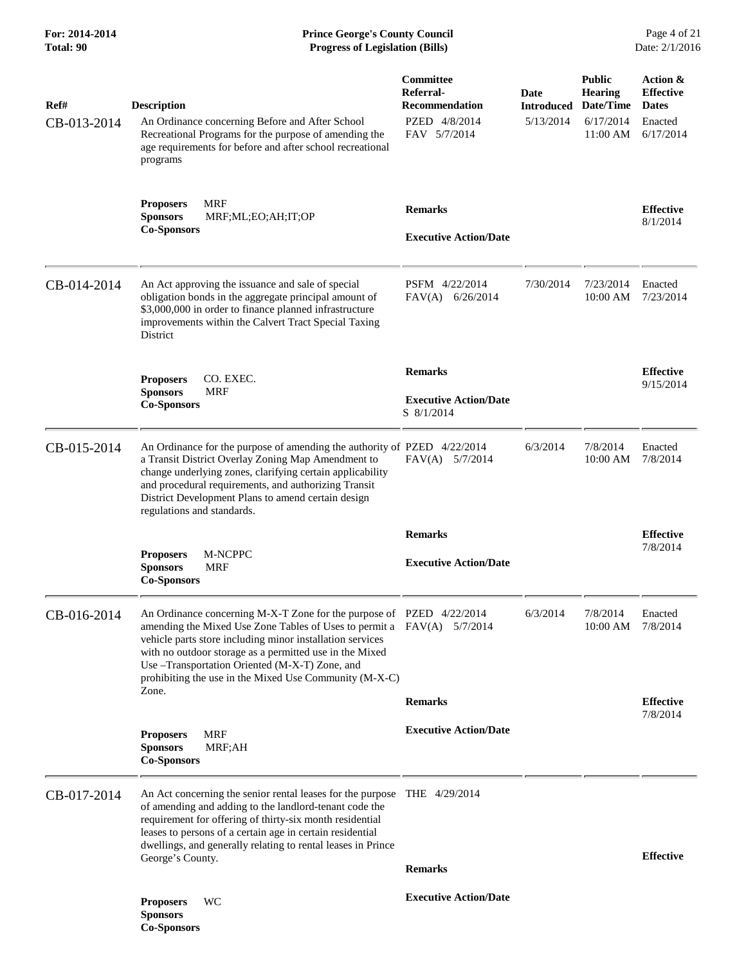| Ref#<br>CB-013-2014 | <b>Description</b><br>An Ordinance concerning Before and After School<br>Recreational Programs for the purpose of amending the<br>age requirements for before and after school recreational<br>programs                                                                                                                                                                                     | Committee<br>Referral-<br><b>Recommendation</b><br>PZED 4/8/2014<br>FAV 5/7/2014 | Date<br><b>Introduced</b><br>5/13/2014 | <b>Public</b><br><b>Hearing</b><br>Date/Time<br>6/17/2014<br>11:00 AM | Action &<br><b>Effective</b><br><b>Dates</b><br>Enacted<br>6/17/2014 |
|---------------------|---------------------------------------------------------------------------------------------------------------------------------------------------------------------------------------------------------------------------------------------------------------------------------------------------------------------------------------------------------------------------------------------|----------------------------------------------------------------------------------|----------------------------------------|-----------------------------------------------------------------------|----------------------------------------------------------------------|
|                     | <b>MRF</b><br><b>Proposers</b><br><b>Sponsors</b><br>MRF;ML;EO;AH;IT;OP<br><b>Co-Sponsors</b>                                                                                                                                                                                                                                                                                               | <b>Remarks</b><br><b>Executive Action/Date</b>                                   |                                        |                                                                       | <b>Effective</b><br>8/1/2014                                         |
| CB-014-2014         | An Act approving the issuance and sale of special<br>obligation bonds in the aggregate principal amount of<br>\$3,000,000 in order to finance planned infrastructure<br>improvements within the Calvert Tract Special Taxing<br><b>District</b>                                                                                                                                             | PSFM 4/22/2014<br>$FAV(A)$ 6/26/2014                                             | 7/30/2014                              | 7/23/2014<br>$10:00$ AM                                               | Enacted<br>7/23/2014                                                 |
|                     | CO. EXEC.<br><b>Proposers</b><br><b>Sponsors</b><br><b>MRF</b><br><b>Co-Sponsors</b>                                                                                                                                                                                                                                                                                                        | <b>Remarks</b><br><b>Executive Action/Date</b><br>S 8/1/2014                     |                                        |                                                                       | <b>Effective</b><br>9/15/2014                                        |
| CB-015-2014         | An Ordinance for the purpose of amending the authority of PZED 4/22/2014<br>a Transit District Overlay Zoning Map Amendment to<br>change underlying zones, clarifying certain applicability<br>and procedural requirements, and authorizing Transit<br>District Development Plans to amend certain design<br>regulations and standards.                                                     | FAV(A) 5/7/2014                                                                  | 6/3/2014                               | 7/8/2014<br>10:00 AM                                                  | Enacted<br>7/8/2014                                                  |
|                     | <b>Proposers</b><br>M-NCPPC<br><b>Sponsors</b><br><b>MRF</b><br><b>Co-Sponsors</b>                                                                                                                                                                                                                                                                                                          | <b>Remarks</b><br><b>Executive Action/Date</b>                                   |                                        |                                                                       | <b>Effective</b><br>7/8/2014                                         |
| CB-016-2014         | An Ordinance concerning M-X-T Zone for the purpose of PZED 4/22/2014<br>amending the Mixed Use Zone Tables of Uses to permit a FAV(A) 5/7/2014<br>vehicle parts store including minor installation services<br>with no outdoor storage as a permitted use in the Mixed<br>Use -Transportation Oriented (M-X-T) Zone, and<br>prohibiting the use in the Mixed Use Community (M-X-C)<br>Zone. | <b>Remarks</b>                                                                   | 6/3/2014                               | 7/8/2014<br>10:00 AM                                                  | Enacted<br>7/8/2014<br><b>Effective</b>                              |
|                     | <b>MRF</b><br><b>Proposers</b><br><b>Sponsors</b><br>MRF;AH<br><b>Co-Sponsors</b>                                                                                                                                                                                                                                                                                                           | <b>Executive Action/Date</b>                                                     |                                        |                                                                       | 7/8/2014                                                             |
| CB-017-2014         | An Act concerning the senior rental leases for the purpose THE 4/29/2014<br>of amending and adding to the landlord-tenant code the<br>requirement for offering of thirty-six month residential<br>leases to persons of a certain age in certain residential<br>dwellings, and generally relating to rental leases in Prince<br>George's County.                                             | <b>Remarks</b>                                                                   |                                        |                                                                       | <b>Effective</b>                                                     |
|                     | WС<br><b>Proposers</b><br><b>Sponsors</b><br><b>Co-Sponsors</b>                                                                                                                                                                                                                                                                                                                             | <b>Executive Action/Date</b>                                                     |                                        |                                                                       |                                                                      |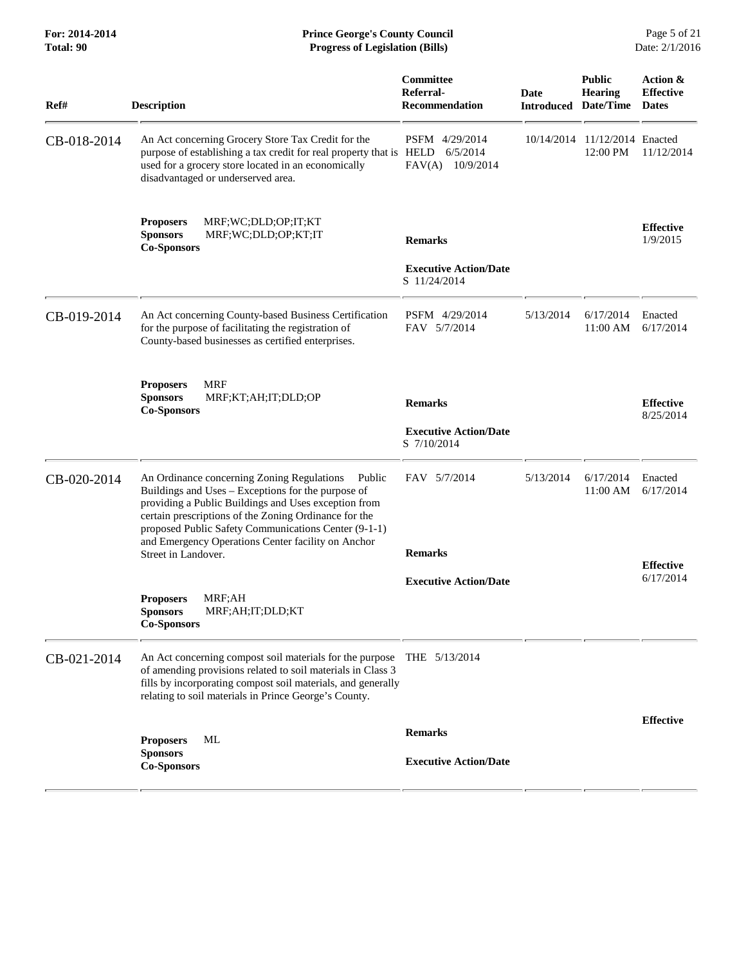| Ref#        | <b>Description</b>                                                                                                                                                                                                                                                                                                                                               | Committee<br>Referral-<br><b>Recommendation</b> | Date<br><b>Introduced</b> | <b>Public</b><br><b>Hearing</b><br>Date/Time | Action &<br><b>Effective</b><br><b>Dates</b> |
|-------------|------------------------------------------------------------------------------------------------------------------------------------------------------------------------------------------------------------------------------------------------------------------------------------------------------------------------------------------------------------------|-------------------------------------------------|---------------------------|----------------------------------------------|----------------------------------------------|
| CB-018-2014 | An Act concerning Grocery Store Tax Credit for the<br>purpose of establishing a tax credit for real property that is HELD<br>used for a grocery store located in an economically<br>disadvantaged or underserved area.                                                                                                                                           | PSFM 4/29/2014<br>6/5/2014<br>FAV(A) 10/9/2014  | 10/14/2014                | 11/12/2014 Enacted<br>12:00 PM               | 11/12/2014                                   |
|             | MRF;WC;DLD;OP;IT;KT<br><b>Proposers</b><br><b>Sponsors</b><br>MRF;WC;DLD;OP;KT;IT<br><b>Co-Sponsors</b>                                                                                                                                                                                                                                                          | <b>Remarks</b>                                  |                           |                                              | <b>Effective</b><br>1/9/2015                 |
|             |                                                                                                                                                                                                                                                                                                                                                                  | <b>Executive Action/Date</b><br>S 11/24/2014    |                           |                                              |                                              |
| CB-019-2014 | An Act concerning County-based Business Certification<br>for the purpose of facilitating the registration of<br>County-based businesses as certified enterprises.                                                                                                                                                                                                | PSFM 4/29/2014<br>FAV 5/7/2014                  | 5/13/2014                 | 6/17/2014<br>$11:00 \text{ AM}$              | Enacted<br>6/17/2014                         |
|             | <b>Proposers</b><br>MRF<br><b>Sponsors</b><br>MRF;KT;AH;IT;DLD;OP<br><b>Co-Sponsors</b>                                                                                                                                                                                                                                                                          | <b>Remarks</b>                                  |                           |                                              | <b>Effective</b><br>8/25/2014                |
|             |                                                                                                                                                                                                                                                                                                                                                                  | <b>Executive Action/Date</b><br>S 7/10/2014     |                           |                                              |                                              |
| CB-020-2014 | An Ordinance concerning Zoning Regulations<br>Public<br>Buildings and Uses - Exceptions for the purpose of<br>providing a Public Buildings and Uses exception from<br>certain prescriptions of the Zoning Ordinance for the<br>proposed Public Safety Communications Center (9-1-1)<br>and Emergency Operations Center facility on Anchor<br>Street in Landover. | FAV 5/7/2014<br><b>Remarks</b>                  | 5/13/2014                 | 6/17/2014<br>11:00 AM                        | Enacted<br>6/17/2014                         |
|             |                                                                                                                                                                                                                                                                                                                                                                  | <b>Executive Action/Date</b>                    |                           |                                              | <b>Effective</b><br>6/17/2014                |
|             | MRF;AH<br><b>Proposers</b><br>MRF;AH;IT;DLD;KT<br><b>Sponsors</b><br><b>Co-Sponsors</b>                                                                                                                                                                                                                                                                          |                                                 |                           |                                              |                                              |
| CB-021-2014 | An Act concerning compost soil materials for the purpose THE 5/13/2014<br>of amending provisions related to soil materials in Class 3<br>fills by incorporating compost soil materials, and generally<br>relating to soil materials in Prince George's County.                                                                                                   |                                                 |                           |                                              |                                              |
|             | <b>Proposers</b><br>ML<br><b>Sponsors</b><br><b>Co-Sponsors</b>                                                                                                                                                                                                                                                                                                  | <b>Remarks</b><br><b>Executive Action/Date</b>  |                           |                                              | <b>Effective</b>                             |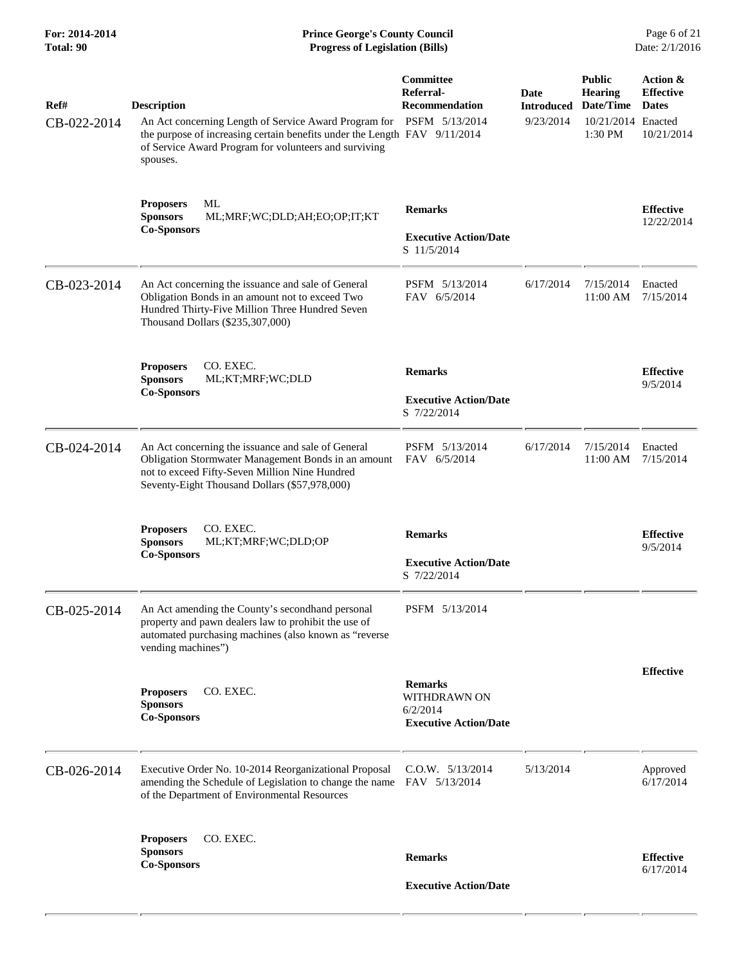| For: 2014-2014<br>Total: 90 | <b>Prince George's County Council</b><br><b>Progress of Legislation (Bills)</b>                                                                                                                                                              |                                                                            |                                        |                                                                               | Page 6 of 21<br>Date: 2/1/2016                             |  |
|-----------------------------|----------------------------------------------------------------------------------------------------------------------------------------------------------------------------------------------------------------------------------------------|----------------------------------------------------------------------------|----------------------------------------|-------------------------------------------------------------------------------|------------------------------------------------------------|--|
| Ref#<br>CB-022-2014         | <b>Description</b><br>An Act concerning Length of Service Award Program for PSFM 5/13/2014<br>the purpose of increasing certain benefits under the Length FAV 9/11/2014<br>of Service Award Program for volunteers and surviving<br>spouses. | Committee<br>Referral-<br><b>Recommendation</b>                            | Date<br><b>Introduced</b><br>9/23/2014 | <b>Public</b><br><b>Hearing</b><br>Date/Time<br>10/21/2014 Enacted<br>1:30 PM | Action &<br><b>Effective</b><br><b>Dates</b><br>10/21/2014 |  |
|                             | ML<br><b>Proposers</b><br><b>Sponsors</b><br>ML;MRF;WC;DLD;AH;EO;OP;IT;KT<br><b>Co-Sponsors</b>                                                                                                                                              | <b>Remarks</b><br><b>Executive Action/Date</b><br>S 11/5/2014              |                                        |                                                                               | <b>Effective</b><br>12/22/2014                             |  |
| CB-023-2014                 | An Act concerning the issuance and sale of General<br>Obligation Bonds in an amount not to exceed Two<br>Hundred Thirty-Five Million Three Hundred Seven<br>Thousand Dollars (\$235,307,000)                                                 | PSFM 5/13/2014<br>FAV 6/5/2014                                             | 6/17/2014                              | 7/15/2014<br>11:00 AM                                                         | Enacted<br>7/15/2014                                       |  |
|                             | CO. EXEC.<br><b>Proposers</b><br><b>Sponsors</b><br>ML;KT;MRF;WC;DLD<br><b>Co-Sponsors</b>                                                                                                                                                   | <b>Remarks</b><br><b>Executive Action/Date</b><br>S 7/22/2014              |                                        |                                                                               | <b>Effective</b><br>9/5/2014                               |  |
| CB-024-2014                 | An Act concerning the issuance and sale of General<br>Obligation Stormwater Management Bonds in an amount<br>not to exceed Fifty-Seven Million Nine Hundred<br>Seventy-Eight Thousand Dollars (\$57,978,000)                                 | PSFM 5/13/2014<br>FAV 6/5/2014                                             | 6/17/2014                              | 7/15/2014<br>11:00 AM                                                         | Enacted<br>7/15/2014                                       |  |
|                             | CO. EXEC.<br><b>Proposers</b><br><b>Sponsors</b><br>ML;KT;MRF;WC;DLD;OP<br><b>Co-Sponsors</b>                                                                                                                                                | <b>Remarks</b><br><b>Executive Action/Date</b><br>S 7/22/2014              |                                        |                                                                               | <b>Effective</b><br>9/5/2014                               |  |
| CB-025-2014                 | An Act amending the County's secondhand personal<br>property and pawn dealers law to prohibit the use of<br>automated purchasing machines (also known as "reverse<br>vending machines")                                                      | PSFM 5/13/2014                                                             |                                        |                                                                               |                                                            |  |
|                             | <b>Proposers</b><br>CO. EXEC.<br><b>Sponsors</b><br><b>Co-Sponsors</b>                                                                                                                                                                       | <b>Remarks</b><br>WITHDRAWN ON<br>6/2/2014<br><b>Executive Action/Date</b> |                                        |                                                                               | <b>Effective</b>                                           |  |
| CB-026-2014                 | Executive Order No. 10-2014 Reorganizational Proposal<br>amending the Schedule of Legislation to change the name<br>of the Department of Environmental Resources                                                                             | $C.0.W.$ $5/13/2014$<br>FAV 5/13/2014                                      | 5/13/2014                              |                                                                               | Approved<br>6/17/2014                                      |  |
|                             | <b>Proposers</b><br>CO. EXEC.<br><b>Sponsors</b><br><b>Co-Sponsors</b>                                                                                                                                                                       | <b>Remarks</b><br><b>Executive Action/Date</b>                             |                                        |                                                                               | <b>Effective</b><br>6/17/2014                              |  |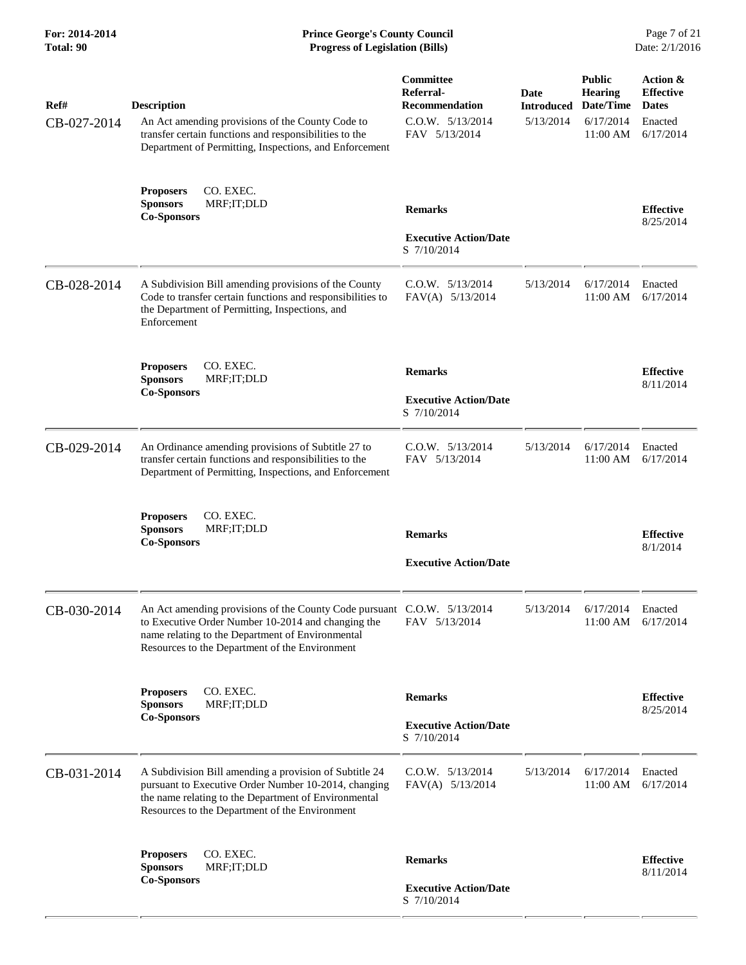| Ref#<br>CB-027-2014 | <b>Description</b><br>An Act amending provisions of the County Code to<br>transfer certain functions and responsibilities to the<br>Department of Permitting, Inspections, and Enforcement                                          | Committee<br>Referral-<br><b>Recommendation</b><br>$C.0.W.$ $5/13/2014$<br>FAV 5/13/2014 | Date<br><b>Introduced</b><br>5/13/2014 | <b>Public</b><br><b>Hearing</b><br>Date/Time<br>6/17/2014<br>11:00 AM | Action &<br><b>Effective</b><br><b>Dates</b><br>Enacted<br>6/17/2014 |
|---------------------|-------------------------------------------------------------------------------------------------------------------------------------------------------------------------------------------------------------------------------------|------------------------------------------------------------------------------------------|----------------------------------------|-----------------------------------------------------------------------|----------------------------------------------------------------------|
|                     | CO. EXEC.<br><b>Proposers</b><br>MRF;IT;DLD<br><b>Sponsors</b><br><b>Co-Sponsors</b>                                                                                                                                                | <b>Remarks</b><br><b>Executive Action/Date</b><br>S 7/10/2014                            |                                        |                                                                       | <b>Effective</b><br>8/25/2014                                        |
| CB-028-2014         | A Subdivision Bill amending provisions of the County<br>Code to transfer certain functions and responsibilities to<br>the Department of Permitting, Inspections, and<br>Enforcement                                                 | $C.0.W.$ $5/13/2014$<br>FAV(A) 5/13/2014                                                 | 5/13/2014                              | 6/17/2014<br>11:00 AM                                                 | Enacted<br>6/17/2014                                                 |
|                     | <b>Proposers</b><br>CO. EXEC.<br><b>Sponsors</b><br>MRF;IT;DLD<br><b>Co-Sponsors</b>                                                                                                                                                | <b>Remarks</b><br><b>Executive Action/Date</b><br>S 7/10/2014                            |                                        |                                                                       | <b>Effective</b><br>8/11/2014                                        |
| CB-029-2014         | An Ordinance amending provisions of Subtitle 27 to<br>transfer certain functions and responsibilities to the<br>Department of Permitting, Inspections, and Enforcement                                                              | $C.0.W.$ $5/13/2014$<br>FAV 5/13/2014                                                    | 5/13/2014                              | 6/17/2014<br>11:00 AM                                                 | Enacted<br>6/17/2014                                                 |
|                     | CO. EXEC.<br><b>Proposers</b><br><b>Sponsors</b><br>MRF;IT;DLD<br><b>Co-Sponsors</b>                                                                                                                                                | <b>Remarks</b><br><b>Executive Action/Date</b>                                           |                                        |                                                                       | <b>Effective</b><br>8/1/2014                                         |
| CB-030-2014         | An Act amending provisions of the County Code pursuant C.O.W. 5/13/2014<br>to Executive Order Number 10-2014 and changing the<br>name relating to the Department of Environmental<br>Resources to the Department of the Environment | FAV 5/13/2014                                                                            | 5/13/2014                              | 6/17/2014<br>11:00 AM                                                 | Enacted<br>6/17/2014                                                 |
|                     | <b>Proposers</b><br>CO. EXEC.<br><b>Sponsors</b><br>MRF;IT;DLD<br><b>Co-Sponsors</b>                                                                                                                                                | <b>Remarks</b><br><b>Executive Action/Date</b><br>S 7/10/2014                            |                                        |                                                                       | <b>Effective</b><br>8/25/2014                                        |
| CB-031-2014         | A Subdivision Bill amending a provision of Subtitle 24<br>pursuant to Executive Order Number 10-2014, changing<br>the name relating to the Department of Environmental<br>Resources to the Department of the Environment            | $C.0.W.$ $5/13/2014$<br>FAV(A) 5/13/2014                                                 | 5/13/2014                              | 6/17/2014<br>11:00 AM                                                 | Enacted<br>6/17/2014                                                 |
|                     | CO. EXEC.<br><b>Proposers</b><br><b>Sponsors</b><br>MRF;IT;DLD<br><b>Co-Sponsors</b>                                                                                                                                                | <b>Remarks</b><br><b>Executive Action/Date</b><br>S 7/10/2014                            |                                        |                                                                       | <b>Effective</b><br>8/11/2014                                        |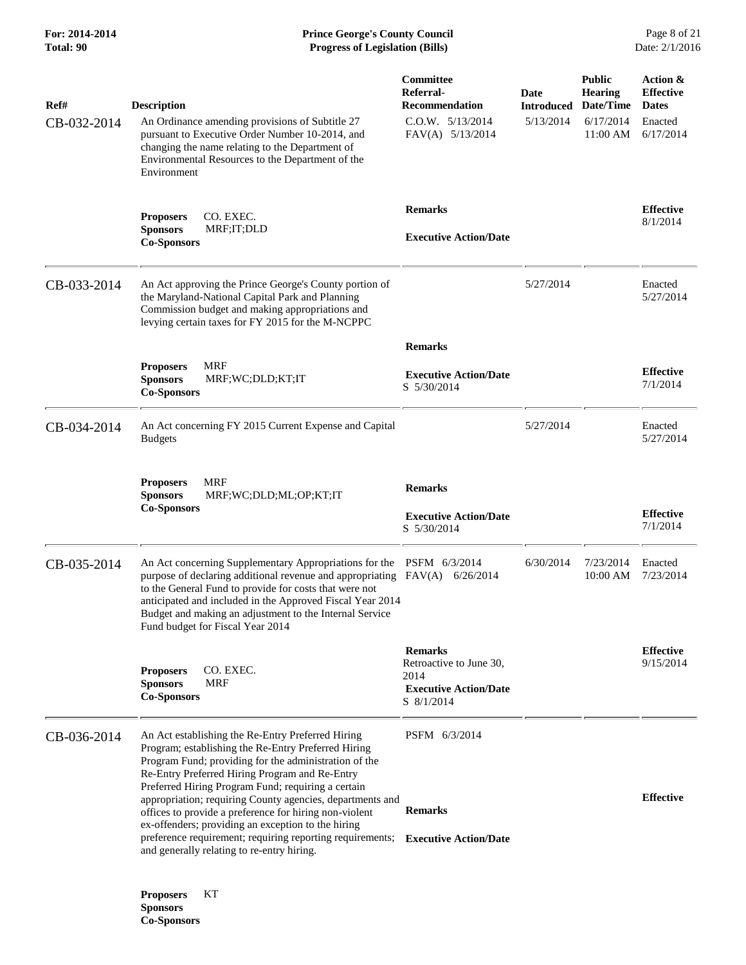**Co-Sponsors** 

| Ref#        | <b>Description</b>                                                                                                                                                                                                                                                                                                                                                         | Committee<br>Referral-<br><b>Recommendation</b>                                                 | Date<br><b>Introduced</b> | <b>Public</b><br><b>Hearing</b><br>Date/Time | Action &<br><b>Effective</b><br><b>Dates</b> |
|-------------|----------------------------------------------------------------------------------------------------------------------------------------------------------------------------------------------------------------------------------------------------------------------------------------------------------------------------------------------------------------------------|-------------------------------------------------------------------------------------------------|---------------------------|----------------------------------------------|----------------------------------------------|
| CB-032-2014 | An Ordinance amending provisions of Subtitle 27<br>pursuant to Executive Order Number 10-2014, and<br>changing the name relating to the Department of<br>Environmental Resources to the Department of the<br>Environment                                                                                                                                                   | $C.0.W.$ $5/13/2014$<br>FAV(A) 5/13/2014                                                        | 5/13/2014                 | 6/17/2014<br>11:00 AM                        | Enacted<br>6/17/2014                         |
|             | CO. EXEC.<br><b>Proposers</b><br><b>Sponsors</b><br>MRF;IT;DLD<br><b>Co-Sponsors</b>                                                                                                                                                                                                                                                                                       | <b>Remarks</b><br><b>Executive Action/Date</b>                                                  |                           |                                              | <b>Effective</b><br>8/1/2014                 |
| CB-033-2014 | An Act approving the Prince George's County portion of<br>the Maryland-National Capital Park and Planning<br>Commission budget and making appropriations and<br>levying certain taxes for FY 2015 for the M-NCPPC                                                                                                                                                          |                                                                                                 | 5/27/2014                 |                                              | Enacted<br>5/27/2014                         |
|             |                                                                                                                                                                                                                                                                                                                                                                            | <b>Remarks</b>                                                                                  |                           |                                              |                                              |
|             | <b>MRF</b><br><b>Proposers</b><br>MRF;WC;DLD;KT;IT<br><b>Sponsors</b><br><b>Co-Sponsors</b>                                                                                                                                                                                                                                                                                | <b>Executive Action/Date</b><br>S 5/30/2014                                                     |                           |                                              | <b>Effective</b><br>7/1/2014                 |
| CB-034-2014 | An Act concerning FY 2015 Current Expense and Capital<br><b>Budgets</b>                                                                                                                                                                                                                                                                                                    |                                                                                                 | 5/27/2014                 |                                              | Enacted<br>5/27/2014                         |
|             | <b>MRF</b><br><b>Proposers</b><br><b>Sponsors</b><br>MRF;WC;DLD;ML;OP;KT;IT<br><b>Co-Sponsors</b>                                                                                                                                                                                                                                                                          | <b>Remarks</b>                                                                                  |                           |                                              |                                              |
|             |                                                                                                                                                                                                                                                                                                                                                                            | <b>Executive Action/Date</b><br>S 5/30/2014                                                     |                           |                                              | <b>Effective</b><br>7/1/2014                 |
| CB-035-2014 | An Act concerning Supplementary Appropriations for the PSFM 6/3/2014<br>purpose of declaring additional revenue and appropriating $FAV(A)$ 6/26/2014<br>to the General Fund to provide for costs that were not<br>anticipated and included in the Approved Fiscal Year 2014<br>Budget and making an adjustment to the Internal Service<br>Fund budget for Fiscal Year 2014 |                                                                                                 | 6/30/2014                 | 7/23/2014<br>10:00 AM                        | Enacted<br>7/23/2014                         |
|             | CO. EXEC.<br><b>Proposers</b><br><b>Sponsors</b><br>MRF<br><b>Co-Sponsors</b>                                                                                                                                                                                                                                                                                              | <b>Remarks</b><br>Retroactive to June 30,<br>2014<br><b>Executive Action/Date</b><br>S 8/1/2014 |                           |                                              | <b>Effective</b><br>9/15/2014                |
| CB-036-2014 | An Act establishing the Re-Entry Preferred Hiring<br>Program; establishing the Re-Entry Preferred Hiring<br>Program Fund; providing for the administration of the<br>Re-Entry Preferred Hiring Program and Re-Entry<br>Preferred Hiring Program Fund; requiring a certain                                                                                                  | PSFM 6/3/2014                                                                                   |                           |                                              |                                              |
|             | appropriation; requiring County agencies, departments and<br>offices to provide a preference for hiring non-violent<br>ex-offenders; providing an exception to the hiring                                                                                                                                                                                                  | <b>Remarks</b>                                                                                  |                           |                                              | <b>Effective</b>                             |
|             | preference requirement; requiring reporting requirements;<br>and generally relating to re-entry hiring.                                                                                                                                                                                                                                                                    | <b>Executive Action/Date</b>                                                                    |                           |                                              |                                              |
|             | КT<br><b>Proposers</b><br><b>Sponsors</b>                                                                                                                                                                                                                                                                                                                                  |                                                                                                 |                           |                                              |                                              |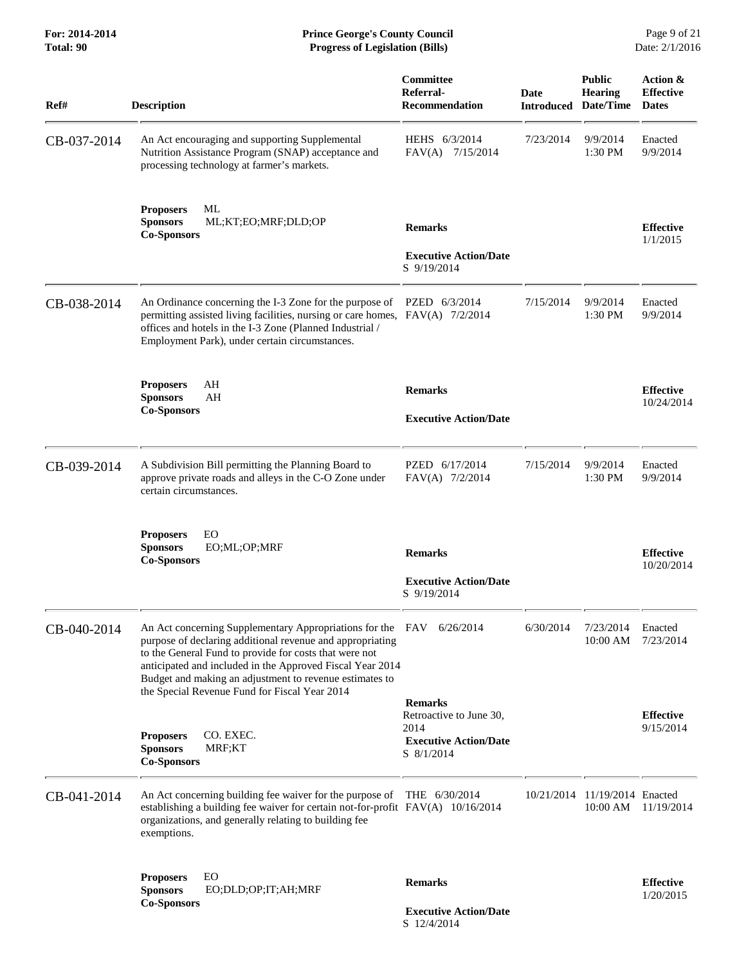| Ref#        | <b>Description</b>                                                                                                                                                                                                                                                                                                                                                   | Committee<br>Referral-<br><b>Recommendation</b>                                                 | Date      | <b>Public</b><br><b>Hearing</b><br><b>Introduced Date/Time</b> | Action &<br><b>Effective</b><br><b>Dates</b> |
|-------------|----------------------------------------------------------------------------------------------------------------------------------------------------------------------------------------------------------------------------------------------------------------------------------------------------------------------------------------------------------------------|-------------------------------------------------------------------------------------------------|-----------|----------------------------------------------------------------|----------------------------------------------|
| CB-037-2014 | An Act encouraging and supporting Supplemental<br>Nutrition Assistance Program (SNAP) acceptance and<br>processing technology at farmer's markets.                                                                                                                                                                                                                   | HEHS 6/3/2014<br>FAV(A) 7/15/2014                                                               | 7/23/2014 | 9/9/2014<br>1:30 PM                                            | Enacted<br>9/9/2014                          |
|             | <b>Proposers</b><br>ML<br><b>Sponsors</b><br>ML;KT;EO;MRF;DLD;OP<br><b>Co-Sponsors</b>                                                                                                                                                                                                                                                                               | <b>Remarks</b><br><b>Executive Action/Date</b><br>S 9/19/2014                                   |           |                                                                | <b>Effective</b><br>1/1/2015                 |
| CB-038-2014 | An Ordinance concerning the I-3 Zone for the purpose of PZED 6/3/2014<br>permitting assisted living facilities, nursing or care homes, FAV(A) 7/2/2014<br>offices and hotels in the I-3 Zone (Planned Industrial /<br>Employment Park), under certain circumstances.                                                                                                 |                                                                                                 | 7/15/2014 | 9/9/2014<br>1:30 PM                                            | Enacted<br>9/9/2014                          |
|             | <b>Proposers</b><br>AH<br><b>Sponsors</b><br>AH<br><b>Co-Sponsors</b>                                                                                                                                                                                                                                                                                                | <b>Remarks</b><br><b>Executive Action/Date</b>                                                  |           |                                                                | <b>Effective</b><br>10/24/2014               |
| CB-039-2014 | A Subdivision Bill permitting the Planning Board to<br>approve private roads and alleys in the C-O Zone under<br>certain circumstances.                                                                                                                                                                                                                              | PZED 6/17/2014<br>FAV(A) 7/2/2014                                                               | 7/15/2014 | 9/9/2014<br>1:30 PM                                            | Enacted<br>9/9/2014                          |
|             | EO<br><b>Proposers</b><br><b>Sponsors</b><br>EO;ML;OP;MRF<br><b>Co-Sponsors</b>                                                                                                                                                                                                                                                                                      | <b>Remarks</b><br><b>Executive Action/Date</b><br>S 9/19/2014                                   |           |                                                                | <b>Effective</b><br>10/20/2014               |
| CB-040-2014 | An Act concerning Supplementary Appropriations for the FAV 6/26/2014<br>purpose of declaring additional revenue and appropriating<br>to the General Fund to provide for costs that were not<br>anticipated and included in the Approved Fiscal Year 2014<br>Budget and making an adjustment to revenue estimates to<br>the Special Revenue Fund for Fiscal Year 2014 |                                                                                                 | 6/30/2014 | 7/23/2014<br>10:00 AM                                          | Enacted<br>7/23/2014                         |
|             | CO. EXEC.<br><b>Proposers</b><br><b>Sponsors</b><br>MRF;KT<br><b>Co-Sponsors</b>                                                                                                                                                                                                                                                                                     | <b>Remarks</b><br>Retroactive to June 30,<br>2014<br><b>Executive Action/Date</b><br>S 8/1/2014 |           |                                                                | <b>Effective</b><br>9/15/2014                |
| CB-041-2014 | An Act concerning building fee waiver for the purpose of THE 6/30/2014<br>establishing a building fee waiver for certain not-for-profit FAV(A) 10/16/2014<br>organizations, and generally relating to building fee<br>exemptions.                                                                                                                                    |                                                                                                 |           | 10/21/2014 11/19/2014 Enacted<br>10:00 AM                      | 11/19/2014                                   |
|             | EO<br><b>Proposers</b><br><b>Sponsors</b><br>EO;DLD;OP;IT;AH;MRF<br><b>Co-Sponsors</b>                                                                                                                                                                                                                                                                               | <b>Remarks</b><br><b>Executive Action/Date</b><br>S 12/4/2014                                   |           |                                                                | <b>Effective</b><br>1/20/2015                |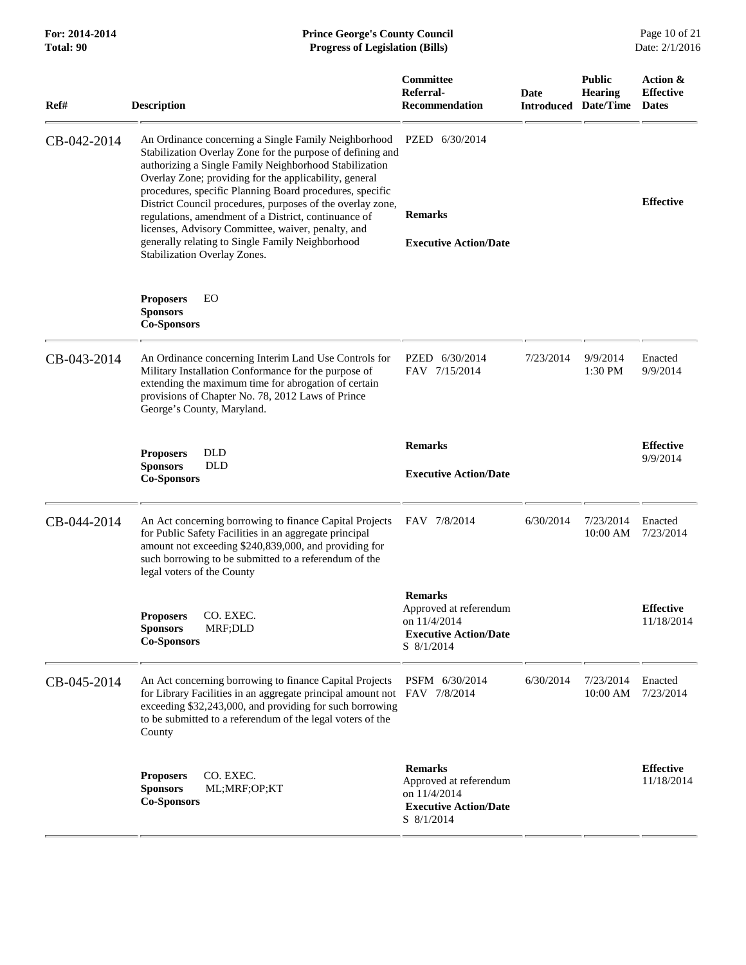| Ref#        | <b>Description</b>                                                                                                                                                                                                                                                                                                                                                                                                                                                                                                                                                 | Committee<br>Referral-<br><b>Recommendation</b>                                                        | Date      | <b>Public</b><br><b>Hearing</b><br><b>Introduced Date/Time</b> | Action &<br><b>Effective</b><br><b>Dates</b> |
|-------------|--------------------------------------------------------------------------------------------------------------------------------------------------------------------------------------------------------------------------------------------------------------------------------------------------------------------------------------------------------------------------------------------------------------------------------------------------------------------------------------------------------------------------------------------------------------------|--------------------------------------------------------------------------------------------------------|-----------|----------------------------------------------------------------|----------------------------------------------|
| CB-042-2014 | An Ordinance concerning a Single Family Neighborhood<br>Stabilization Overlay Zone for the purpose of defining and<br>authorizing a Single Family Neighborhood Stabilization<br>Overlay Zone; providing for the applicability, general<br>procedures, specific Planning Board procedures, specific<br>District Council procedures, purposes of the overlay zone,<br>regulations, amendment of a District, continuance of<br>licenses, Advisory Committee, waiver, penalty, and<br>generally relating to Single Family Neighborhood<br>Stabilization Overlay Zones. | PZED 6/30/2014<br><b>Remarks</b><br><b>Executive Action/Date</b>                                       |           |                                                                | <b>Effective</b>                             |
|             | EO<br><b>Proposers</b><br><b>Sponsors</b><br><b>Co-Sponsors</b>                                                                                                                                                                                                                                                                                                                                                                                                                                                                                                    |                                                                                                        |           |                                                                |                                              |
| CB-043-2014 | An Ordinance concerning Interim Land Use Controls for<br>Military Installation Conformance for the purpose of<br>extending the maximum time for abrogation of certain<br>provisions of Chapter No. 78, 2012 Laws of Prince<br>George's County, Maryland.                                                                                                                                                                                                                                                                                                           | PZED 6/30/2014<br>FAV 7/15/2014                                                                        | 7/23/2014 | 9/9/2014<br>1:30 PM                                            | Enacted<br>9/9/2014                          |
|             | <b>DLD</b><br><b>Proposers</b><br><b>Sponsors</b><br><b>DLD</b><br><b>Co-Sponsors</b>                                                                                                                                                                                                                                                                                                                                                                                                                                                                              | <b>Remarks</b><br><b>Executive Action/Date</b>                                                         |           |                                                                | <b>Effective</b><br>9/9/2014                 |
| CB-044-2014 | An Act concerning borrowing to finance Capital Projects<br>for Public Safety Facilities in an aggregate principal<br>amount not exceeding \$240,839,000, and providing for<br>such borrowing to be submitted to a referendum of the<br>legal voters of the County                                                                                                                                                                                                                                                                                                  | FAV 7/8/2014                                                                                           | 6/30/2014 | 7/23/2014<br>10:00 AM                                          | Enacted<br>7/23/2014                         |
|             | Proposers CO. EXEC.<br>MRF;DLD<br><b>Sponsors</b><br><b>Co-Sponsors</b>                                                                                                                                                                                                                                                                                                                                                                                                                                                                                            | <b>Remarks</b><br>Approved at referendum<br>on 11/4/2014<br><b>Executive Action/Date</b><br>S 8/1/2014 |           |                                                                | <b>Effective</b><br>11/18/2014               |
| CB-045-2014 | An Act concerning borrowing to finance Capital Projects<br>for Library Facilities in an aggregate principal amount not FAV 7/8/2014<br>exceeding \$32,243,000, and providing for such borrowing<br>to be submitted to a referendum of the legal voters of the<br>County                                                                                                                                                                                                                                                                                            | PSFM 6/30/2014                                                                                         | 6/30/2014 | 7/23/2014<br>10:00 AM                                          | Enacted<br>7/23/2014                         |
|             | CO. EXEC.<br><b>Proposers</b><br><b>Sponsors</b><br>ML;MRF;OP;KT<br><b>Co-Sponsors</b>                                                                                                                                                                                                                                                                                                                                                                                                                                                                             | <b>Remarks</b><br>Approved at referendum<br>on 11/4/2014<br><b>Executive Action/Date</b><br>S 8/1/2014 |           |                                                                | <b>Effective</b><br>11/18/2014               |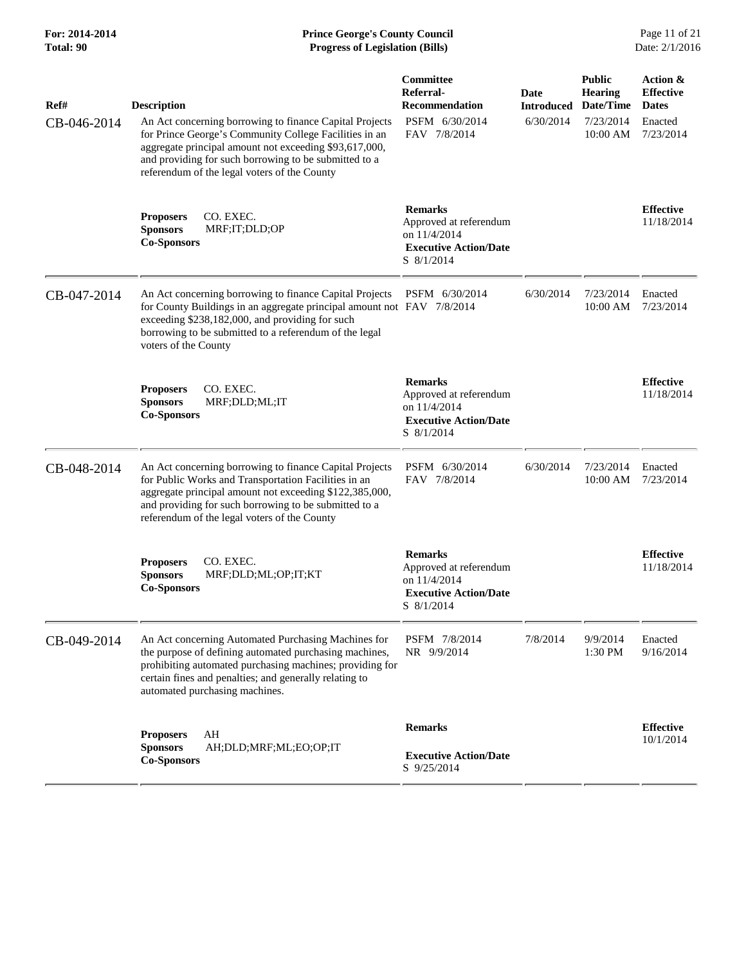| Ref#        | <b>Description</b>                                                                                                                                                                                                                                                                   | Committee<br>Referral-<br><b>Recommendation</b>                                                        | <b>Date</b><br><b>Introduced</b> | <b>Public</b><br><b>Hearing</b><br>Date/Time | Action &<br><b>Effective</b><br><b>Dates</b> |
|-------------|--------------------------------------------------------------------------------------------------------------------------------------------------------------------------------------------------------------------------------------------------------------------------------------|--------------------------------------------------------------------------------------------------------|----------------------------------|----------------------------------------------|----------------------------------------------|
| CB-046-2014 | An Act concerning borrowing to finance Capital Projects<br>for Prince George's Community College Facilities in an<br>aggregate principal amount not exceeding \$93,617,000,<br>and providing for such borrowing to be submitted to a<br>referendum of the legal voters of the County | PSFM 6/30/2014<br>FAV 7/8/2014                                                                         | 6/30/2014                        | 7/23/2014<br>10:00 AM                        | Enacted<br>7/23/2014                         |
|             | <b>Proposers</b><br>CO. EXEC.<br><b>Sponsors</b><br>MRF;IT;DLD;OP<br><b>Co-Sponsors</b>                                                                                                                                                                                              | <b>Remarks</b><br>Approved at referendum<br>on 11/4/2014<br><b>Executive Action/Date</b><br>S 8/1/2014 |                                  |                                              | <b>Effective</b><br>11/18/2014               |
| CB-047-2014 | An Act concerning borrowing to finance Capital Projects<br>for County Buildings in an aggregate principal amount not FAV 7/8/2014<br>exceeding \$238,182,000, and providing for such<br>borrowing to be submitted to a referendum of the legal<br>voters of the County               | PSFM 6/30/2014                                                                                         | 6/30/2014                        | 7/23/2014<br>10:00 AM                        | Enacted<br>7/23/2014                         |
|             | <b>Proposers</b><br>CO. EXEC.<br><b>Sponsors</b><br>MRF;DLD;ML;IT<br><b>Co-Sponsors</b>                                                                                                                                                                                              | <b>Remarks</b><br>Approved at referendum<br>on 11/4/2014<br><b>Executive Action/Date</b><br>S 8/1/2014 |                                  |                                              | <b>Effective</b><br>11/18/2014               |
| CB-048-2014 | An Act concerning borrowing to finance Capital Projects<br>for Public Works and Transportation Facilities in an<br>aggregate principal amount not exceeding \$122,385,000,<br>and providing for such borrowing to be submitted to a<br>referendum of the legal voters of the County  | PSFM 6/30/2014<br>FAV 7/8/2014                                                                         | 6/30/2014                        | 7/23/2014<br>10:00 AM                        | Enacted<br>7/23/2014                         |
|             | CO. EXEC.<br><b>Proposers</b><br><b>Sponsors</b><br>MRF;DLD;ML;OP;IT;KT<br><b>Co-Sponsors</b>                                                                                                                                                                                        | <b>Remarks</b><br>Approved at referendum<br>on 11/4/2014<br><b>Executive Action/Date</b><br>S 8/1/2014 |                                  |                                              | <b>Effective</b><br>11/18/2014               |
| CB-049-2014 | An Act concerning Automated Purchasing Machines for<br>the purpose of defining automated purchasing machines,<br>prohibiting automated purchasing machines; providing for<br>certain fines and penalties; and generally relating to<br>automated purchasing machines.                | PSFM 7/8/2014<br>NR 9/9/2014                                                                           | 7/8/2014                         | 9/9/2014<br>1:30 PM                          | Enacted<br>9/16/2014                         |
|             | AH<br><b>Proposers</b><br><b>Sponsors</b><br>AH;DLD;MRF;ML;EO;OP;IT<br><b>Co-Sponsors</b>                                                                                                                                                                                            | <b>Remarks</b><br><b>Executive Action/Date</b><br>S 9/25/2014                                          |                                  |                                              | <b>Effective</b><br>10/1/2014                |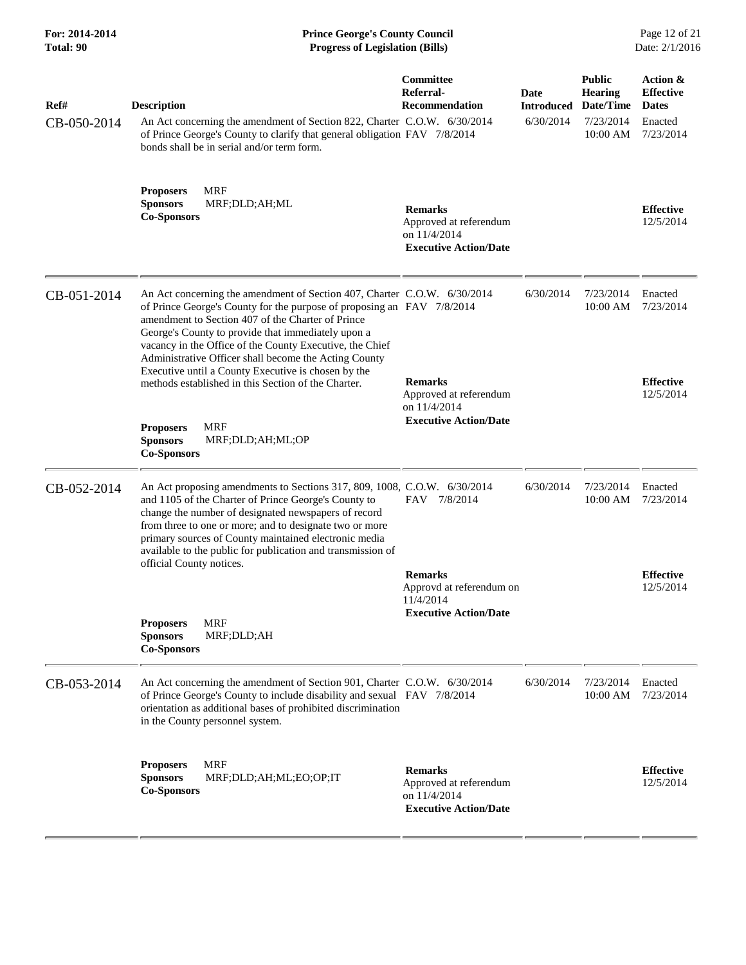| For: 2014-2014<br>Total: 90 | <b>Prince George's County Council</b><br>Date: 2/1/2016<br><b>Progress of Legislation (Bills)</b>                                                                                                                                                                                                                                                                                                                                                                                                |                                                                                          |                                        |                                                                       |                                                                      |
|-----------------------------|--------------------------------------------------------------------------------------------------------------------------------------------------------------------------------------------------------------------------------------------------------------------------------------------------------------------------------------------------------------------------------------------------------------------------------------------------------------------------------------------------|------------------------------------------------------------------------------------------|----------------------------------------|-----------------------------------------------------------------------|----------------------------------------------------------------------|
| Ref#<br>CB-050-2014         | <b>Description</b><br>An Act concerning the amendment of Section 822, Charter C.O.W. 6/30/2014<br>of Prince George's County to clarify that general obligation FAV 7/8/2014<br>bonds shall be in serial and/or term form.                                                                                                                                                                                                                                                                        | <b>Committee</b><br>Referral-<br><b>Recommendation</b>                                   | Date<br><b>Introduced</b><br>6/30/2014 | <b>Public</b><br><b>Hearing</b><br>Date/Time<br>7/23/2014<br>10:00 AM | Action &<br><b>Effective</b><br><b>Dates</b><br>Enacted<br>7/23/2014 |
|                             | <b>MRF</b><br><b>Proposers</b><br><b>Sponsors</b><br>MRF;DLD;AH;ML<br><b>Co-Sponsors</b>                                                                                                                                                                                                                                                                                                                                                                                                         | <b>Remarks</b><br>Approved at referendum<br>on 11/4/2014<br><b>Executive Action/Date</b> |                                        |                                                                       | <b>Effective</b><br>12/5/2014                                        |
| CB-051-2014                 | An Act concerning the amendment of Section 407, Charter C.O.W. 6/30/2014<br>of Prince George's County for the purpose of proposing an FAV 7/8/2014<br>amendment to Section 407 of the Charter of Prince<br>George's County to provide that immediately upon a<br>vacancy in the Office of the County Executive, the Chief<br>Administrative Officer shall become the Acting County<br>Executive until a County Executive is chosen by the<br>methods established in this Section of the Charter. | <b>Remarks</b><br>Approved at referendum<br>on 11/4/2014                                 | 6/30/2014                              | 7/23/2014<br>10:00 AM                                                 | Enacted<br>7/23/2014<br><b>Effective</b><br>12/5/2014                |
|                             | <b>MRF</b><br><b>Proposers</b><br><b>Sponsors</b><br>MRF;DLD;AH;ML;OP<br><b>Co-Sponsors</b>                                                                                                                                                                                                                                                                                                                                                                                                      | <b>Executive Action/Date</b>                                                             |                                        |                                                                       |                                                                      |
| CB-052-2014                 | An Act proposing amendments to Sections 317, 809, 1008, C.O.W. 6/30/2014<br>and 1105 of the Charter of Prince George's County to<br>change the number of designated newspapers of record<br>from three to one or more; and to designate two or more<br>primary sources of County maintained electronic media<br>available to the public for publication and transmission of                                                                                                                      | FAV 7/8/2014                                                                             | 6/30/2014                              | 7/23/2014<br>10:00 AM                                                 | Enacted<br>7/23/2014                                                 |
|                             | official County notices.                                                                                                                                                                                                                                                                                                                                                                                                                                                                         | <b>Remarks</b><br>Approvd at referendum on<br>11/4/2014<br><b>Executive Action/Date</b>  |                                        |                                                                       | <b>Effective</b><br>12/5/2014                                        |
|                             | <b>MRF</b><br><b>Proposers</b><br><b>Sponsors</b><br>MRF;DLD;AH<br><b>Co-Sponsors</b>                                                                                                                                                                                                                                                                                                                                                                                                            |                                                                                          |                                        |                                                                       |                                                                      |
| CB-053-2014                 | An Act concerning the amendment of Section 901, Charter C.O.W. 6/30/2014<br>of Prince George's County to include disability and sexual FAV 7/8/2014<br>orientation as additional bases of prohibited discrimination<br>in the County personnel system.                                                                                                                                                                                                                                           |                                                                                          | 6/30/2014                              | 7/23/2014<br>10:00 AM                                                 | Enacted<br>7/23/2014                                                 |
|                             | <b>MRF</b><br><b>Proposers</b><br><b>Sponsors</b><br>MRF;DLD;AH;ML;EO;OP;IT<br><b>Co-Sponsors</b>                                                                                                                                                                                                                                                                                                                                                                                                | <b>Remarks</b><br>Approved at referendum<br>on 11/4/2014<br><b>Executive Action/Date</b> |                                        |                                                                       | <b>Effective</b><br>12/5/2014                                        |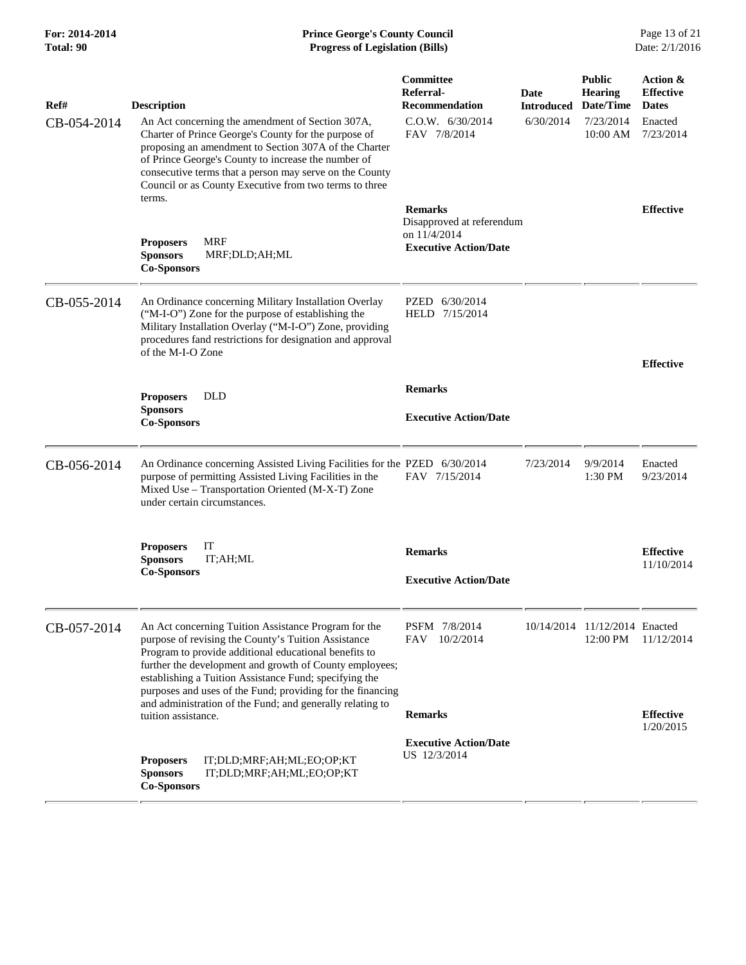| Ref#        | <b>Description</b>                                                                                                                                                                                                                                                                                                                                                                                                   | Committee<br>Referral-<br><b>Recommendation</b>                                             | Date<br><b>Introduced</b> | <b>Public</b><br><b>Hearing</b><br>Date/Time | Action &<br><b>Effective</b><br><b>Dates</b> |
|-------------|----------------------------------------------------------------------------------------------------------------------------------------------------------------------------------------------------------------------------------------------------------------------------------------------------------------------------------------------------------------------------------------------------------------------|---------------------------------------------------------------------------------------------|---------------------------|----------------------------------------------|----------------------------------------------|
| CB-054-2014 | An Act concerning the amendment of Section 307A,<br>Charter of Prince George's County for the purpose of<br>proposing an amendment to Section 307A of the Charter<br>of Prince George's County to increase the number of<br>consecutive terms that a person may serve on the County<br>Council or as County Executive from two terms to three                                                                        | C.0.W. 6/30/2014<br>6/30/2014<br>7/23/2014<br>FAV 7/8/2014<br>$10:00$ AM                    |                           |                                              | Enacted<br>7/23/2014                         |
|             | terms.<br><b>MRF</b><br><b>Proposers</b><br><b>Sponsors</b><br>MRF;DLD;AH;ML<br><b>Co-Sponsors</b>                                                                                                                                                                                                                                                                                                                   | <b>Remarks</b><br>Disapproved at referendum<br>on 11/4/2014<br><b>Executive Action/Date</b> |                           |                                              | <b>Effective</b>                             |
| CB-055-2014 | An Ordinance concerning Military Installation Overlay<br>("M-I-O") Zone for the purpose of establishing the<br>Military Installation Overlay ("M-I-O") Zone, providing<br>procedures fand restrictions for designation and approval<br>of the M-I-O Zone                                                                                                                                                             | PZED 6/30/2014<br>HELD 7/15/2014                                                            |                           |                                              | <b>Effective</b>                             |
|             | <b>DLD</b><br><b>Proposers</b><br><b>Sponsors</b><br><b>Co-Sponsors</b>                                                                                                                                                                                                                                                                                                                                              | <b>Remarks</b><br><b>Executive Action/Date</b>                                              |                           |                                              |                                              |
| CB-056-2014 | An Ordinance concerning Assisted Living Facilities for the PZED 6/30/2014<br>purpose of permitting Assisted Living Facilities in the<br>Mixed Use - Transportation Oriented (M-X-T) Zone<br>under certain circumstances.                                                                                                                                                                                             | FAV 7/15/2014                                                                               | 7/23/2014                 | 9/9/2014<br>1:30 PM                          | Enacted<br>9/23/2014                         |
|             | IT<br><b>Proposers</b><br>IT;AH;ML<br><b>Sponsors</b><br><b>Co-Sponsors</b>                                                                                                                                                                                                                                                                                                                                          | <b>Remarks</b><br><b>Executive Action/Date</b>                                              |                           |                                              | <b>Effective</b><br>11/10/2014               |
| CB-057-2014 | An Act concerning Tuition Assistance Program for the<br>purpose of revising the County's Tuition Assistance<br>Program to provide additional educational benefits to<br>further the development and growth of County employees;<br>establishing a Tuition Assistance Fund; specifying the<br>purposes and uses of the Fund; providing for the financing<br>and administration of the Fund; and generally relating to | PSFM 7/8/2014<br>10/2/2014<br>FAV                                                           |                           | 10/14/2014 11/12/2014 Enacted<br>12:00 PM    | 11/12/2014                                   |
|             | tuition assistance.                                                                                                                                                                                                                                                                                                                                                                                                  | <b>Remarks</b>                                                                              |                           |                                              | <b>Effective</b><br>1/20/2015                |
|             | IT;DLD;MRF;AH;ML;EO;OP;KT<br><b>Proposers</b><br><b>Sponsors</b><br>IT;DLD;MRF;AH;ML;EO;OP;KT<br><b>Co-Sponsors</b>                                                                                                                                                                                                                                                                                                  | <b>Executive Action/Date</b><br>US 12/3/2014                                                |                           |                                              |                                              |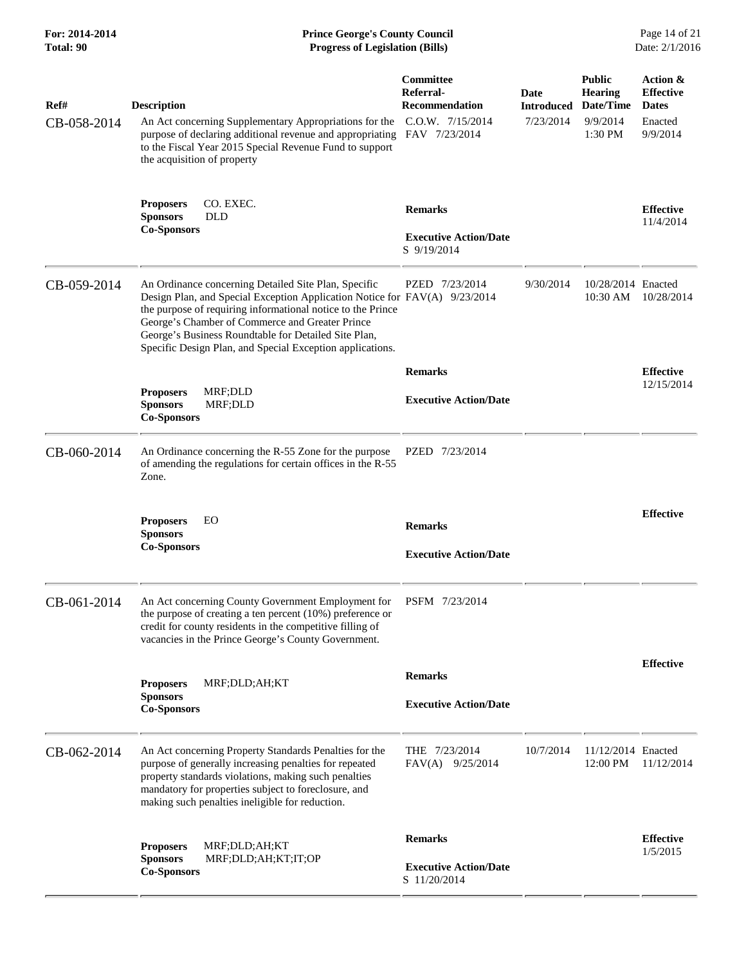| For: 2014-2014<br>Total: 90 | <b>Prince George's County Council</b><br>Page 14 of 21<br>Date: 2/1/2016<br><b>Progress of Legislation (Bills)</b>                                                                                                                                                                                                                                                        |                                                                                             |                                        |                                                                     |                                                                     |
|-----------------------------|---------------------------------------------------------------------------------------------------------------------------------------------------------------------------------------------------------------------------------------------------------------------------------------------------------------------------------------------------------------------------|---------------------------------------------------------------------------------------------|----------------------------------------|---------------------------------------------------------------------|---------------------------------------------------------------------|
| Ref#<br>CB-058-2014         | <b>Description</b><br>An Act concerning Supplementary Appropriations for the<br>purpose of declaring additional revenue and appropriating<br>to the Fiscal Year 2015 Special Revenue Fund to support<br>the acquisition of property                                                                                                                                       | <b>Committee</b><br>Referral-<br><b>Recommendation</b><br>C.O.W. 7/15/2014<br>FAV 7/23/2014 | Date<br><b>Introduced</b><br>7/23/2014 | <b>Public</b><br><b>Hearing</b><br>Date/Time<br>9/9/2014<br>1:30 PM | Action &<br><b>Effective</b><br><b>Dates</b><br>Enacted<br>9/9/2014 |
|                             | CO. EXEC.<br><b>Proposers</b><br><b>Sponsors</b><br>DLD<br><b>Co-Sponsors</b>                                                                                                                                                                                                                                                                                             | <b>Remarks</b><br><b>Executive Action/Date</b><br>S 9/19/2014                               |                                        |                                                                     | <b>Effective</b><br>11/4/2014                                       |
| CB-059-2014                 | An Ordinance concerning Detailed Site Plan, Specific<br>Design Plan, and Special Exception Application Notice for FAV(A) 9/23/2014<br>the purpose of requiring informational notice to the Prince<br>George's Chamber of Commerce and Greater Prince<br>George's Business Roundtable for Detailed Site Plan,<br>Specific Design Plan, and Special Exception applications. | PZED 7/23/2014                                                                              | 9/30/2014                              | 10/28/2014 Enacted<br>10:30 AM                                      | 10/28/2014                                                          |
|                             |                                                                                                                                                                                                                                                                                                                                                                           | <b>Remarks</b>                                                                              |                                        |                                                                     | <b>Effective</b>                                                    |
|                             | <b>Proposers</b><br>MRF;DLD<br><b>Sponsors</b><br>MRF;DLD<br><b>Co-Sponsors</b>                                                                                                                                                                                                                                                                                           | <b>Executive Action/Date</b>                                                                |                                        |                                                                     | 12/15/2014                                                          |
| CB-060-2014                 | An Ordinance concerning the R-55 Zone for the purpose<br>of amending the regulations for certain offices in the R-55<br>Zone.                                                                                                                                                                                                                                             | PZED 7/23/2014                                                                              |                                        |                                                                     |                                                                     |
|                             | <b>Proposers</b><br>EO                                                                                                                                                                                                                                                                                                                                                    | <b>Remarks</b>                                                                              |                                        |                                                                     | <b>Effective</b>                                                    |
|                             | <b>Sponsors</b><br><b>Co-Sponsors</b>                                                                                                                                                                                                                                                                                                                                     | <b>Executive Action/Date</b>                                                                |                                        |                                                                     |                                                                     |
| CB-061-2014                 | An Act concerning County Government Employment for<br>the purpose of creating a ten percent $(10\%)$ preference or<br>credit for county residents in the competitive filling of<br>vacancies in the Prince George's County Government.                                                                                                                                    | PSFM 7/23/2014                                                                              |                                        |                                                                     |                                                                     |
|                             |                                                                                                                                                                                                                                                                                                                                                                           | <b>Remarks</b>                                                                              |                                        |                                                                     | <b>Effective</b>                                                    |
|                             | MRF;DLD;AH;KT<br><b>Proposers</b><br><b>Sponsors</b><br><b>Co-Sponsors</b>                                                                                                                                                                                                                                                                                                | <b>Executive Action/Date</b>                                                                |                                        |                                                                     |                                                                     |
| CB-062-2014                 | An Act concerning Property Standards Penalties for the<br>purpose of generally increasing penalties for repeated<br>property standards violations, making such penalties<br>mandatory for properties subject to foreclosure, and<br>making such penalties ineligible for reduction.                                                                                       | THE 7/23/2014<br>FAV(A) 9/25/2014                                                           | 10/7/2014                              | 11/12/2014 Enacted<br>12:00 PM                                      | 11/12/2014                                                          |
|                             |                                                                                                                                                                                                                                                                                                                                                                           | <b>Remarks</b>                                                                              |                                        |                                                                     | <b>Effective</b>                                                    |
|                             | <b>Proposers</b><br>MRF;DLD;AH;KT<br><b>Sponsors</b><br>MRF;DLD;AH;KT;IT;OP<br><b>Co-Sponsors</b>                                                                                                                                                                                                                                                                         | <b>Executive Action/Date</b><br>S 11/20/2014                                                |                                        |                                                                     | 1/5/2015                                                            |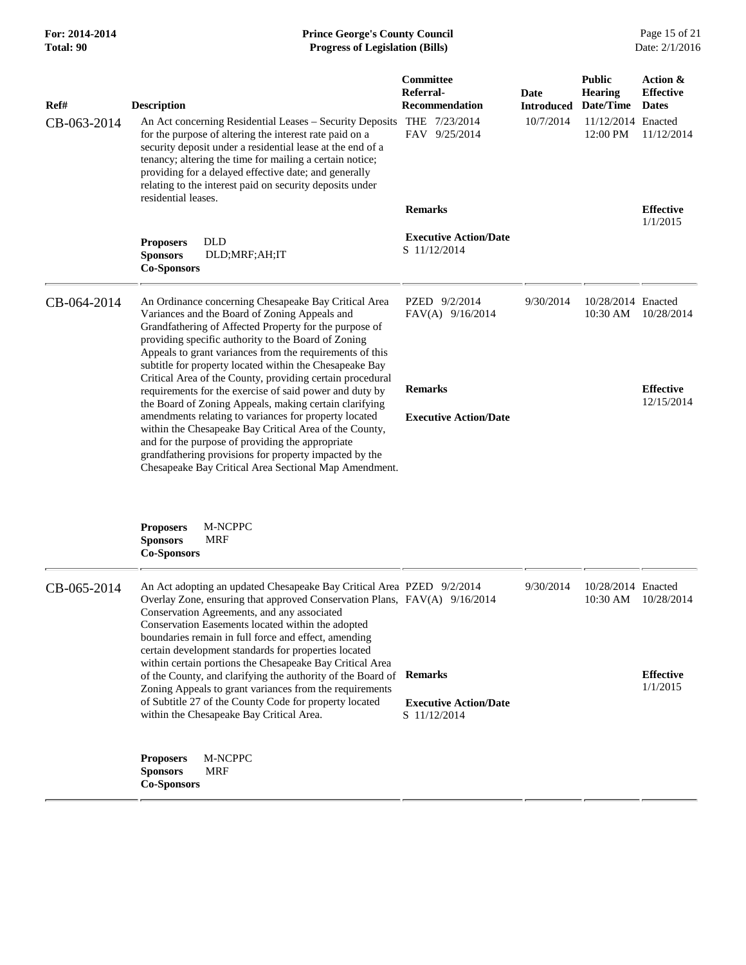| Ref#        | <b>Description</b>                                                                                                                                                                                                                                                                                                                                                               | Committee<br>Referral-<br><b>Recommendation</b> | Date<br><b>Introduced</b> | <b>Public</b><br><b>Hearing</b><br>Date/Time | Action &<br><b>Effective</b><br><b>Dates</b> |
|-------------|----------------------------------------------------------------------------------------------------------------------------------------------------------------------------------------------------------------------------------------------------------------------------------------------------------------------------------------------------------------------------------|-------------------------------------------------|---------------------------|----------------------------------------------|----------------------------------------------|
| CB-063-2014 | An Act concerning Residential Leases - Security Deposits THE 7/23/2014<br>for the purpose of altering the interest rate paid on a<br>security deposit under a residential lease at the end of a<br>tenancy; altering the time for mailing a certain notice;<br>providing for a delayed effective date; and generally<br>relating to the interest paid on security deposits under | FAV 9/25/2014                                   | 10/7/2014                 | 11/12/2014 Enacted<br>12:00 PM               | 11/12/2014                                   |
|             | residential leases.                                                                                                                                                                                                                                                                                                                                                              | <b>Remarks</b>                                  |                           |                                              | <b>Effective</b><br>1/1/2015                 |
|             | <b>DLD</b><br><b>Proposers</b><br>DLD;MRF;AH;IT<br><b>Sponsors</b><br><b>Co-Sponsors</b>                                                                                                                                                                                                                                                                                         | <b>Executive Action/Date</b><br>S 11/12/2014    |                           |                                              |                                              |
| CB-064-2014 | An Ordinance concerning Chesapeake Bay Critical Area<br>Variances and the Board of Zoning Appeals and<br>Grandfathering of Affected Property for the purpose of<br>providing specific authority to the Board of Zoning<br>Appeals to grant variances from the requirements of this<br>subtitle for property located within the Chesapeake Bay                                    | PZED 9/2/2014<br>FAV(A) 9/16/2014               | 9/30/2014                 | 10/28/2014 Enacted<br>10:30 AM               | 10/28/2014                                   |
|             | Critical Area of the County, providing certain procedural<br>requirements for the exercise of said power and duty by                                                                                                                                                                                                                                                             | <b>Remarks</b>                                  |                           |                                              | <b>Effective</b>                             |
|             | the Board of Zoning Appeals, making certain clarifying                                                                                                                                                                                                                                                                                                                           |                                                 |                           |                                              | 12/15/2014                                   |
|             | amendments relating to variances for property located<br>within the Chesapeake Bay Critical Area of the County,<br>and for the purpose of providing the appropriate<br>grandfathering provisions for property impacted by the<br>Chesapeake Bay Critical Area Sectional Map Amendment.                                                                                           | <b>Executive Action/Date</b>                    |                           |                                              |                                              |
|             | <b>Proposers</b><br>M-NCPPC<br><b>Sponsors</b><br><b>MRF</b><br>Co-Sponsors                                                                                                                                                                                                                                                                                                      |                                                 |                           |                                              |                                              |
| CB-065-2014 | An Act adopting an updated Chesapeake Bay Critical Area PZED 9/2/2014<br>Overlay Zone, ensuring that approved Conservation Plans, FAV(A) 9/16/2014<br>Conservation Agreements, and any associated<br>Conservation Easements located within the adopted<br>boundaries remain in full force and effect, amending<br>certain development standards for properties located           |                                                 | 9/30/2014                 | 10/28/2014 Enacted<br>10:30 AM               | 10/28/2014                                   |
|             | within certain portions the Chesapeake Bay Critical Area<br>of the County, and clarifying the authority of the Board of Remarks                                                                                                                                                                                                                                                  |                                                 |                           |                                              | <b>Effective</b>                             |
|             | Zoning Appeals to grant variances from the requirements<br>of Subtitle 27 of the County Code for property located<br>within the Chesapeake Bay Critical Area.                                                                                                                                                                                                                    | <b>Executive Action/Date</b><br>S 11/12/2014    |                           |                                              | 1/1/2015                                     |
|             | <b>Proposers</b><br>M-NCPPC<br><b>Sponsors</b><br><b>MRF</b><br><b>Co-Sponsors</b>                                                                                                                                                                                                                                                                                               |                                                 |                           |                                              |                                              |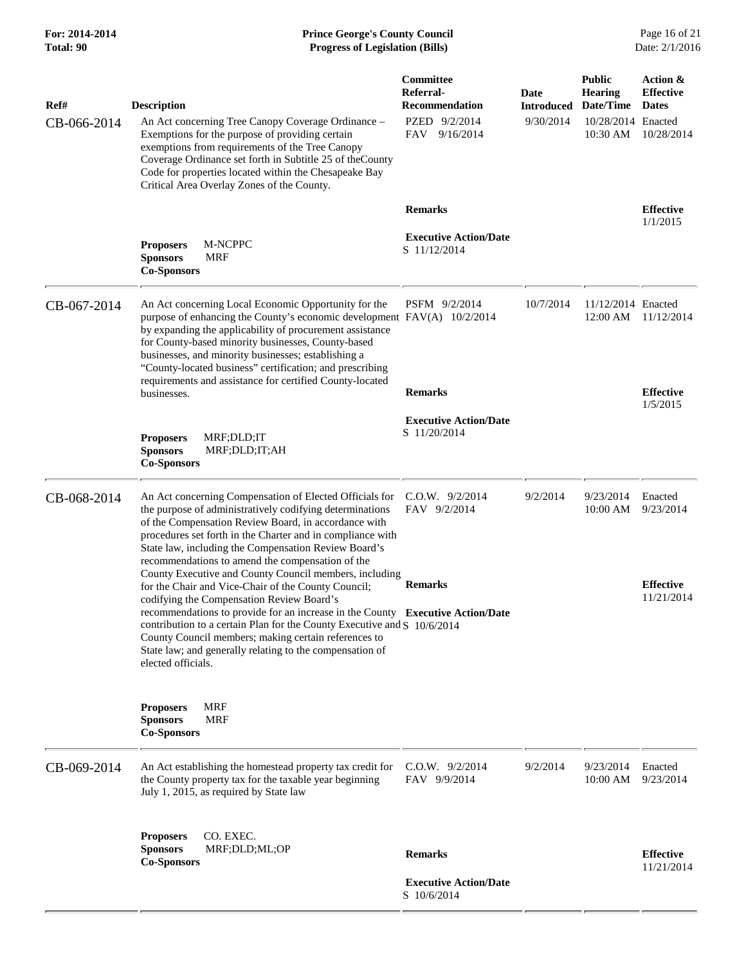| Ref#        | <b>Description</b>                                                                                                                                                                                                                                                                                                                                                                                                                                                | Committee<br>Referral-<br><b>Recommendation</b> | Date<br><b>Introduced</b> | <b>Public</b><br><b>Hearing</b><br>Date/Time | Action &<br><b>Effective</b><br><b>Dates</b> |
|-------------|-------------------------------------------------------------------------------------------------------------------------------------------------------------------------------------------------------------------------------------------------------------------------------------------------------------------------------------------------------------------------------------------------------------------------------------------------------------------|-------------------------------------------------|---------------------------|----------------------------------------------|----------------------------------------------|
| CB-066-2014 | An Act concerning Tree Canopy Coverage Ordinance -<br>Exemptions for the purpose of providing certain<br>exemptions from requirements of the Tree Canopy<br>Coverage Ordinance set forth in Subtitle 25 of the County<br>Code for properties located within the Chesapeake Bay<br>Critical Area Overlay Zones of the County.                                                                                                                                      | PZED 9/2/2014<br>FAV 9/16/2014                  | 9/30/2014                 | 10/28/2014 Enacted<br>10:30 AM               | 10/28/2014                                   |
|             |                                                                                                                                                                                                                                                                                                                                                                                                                                                                   | <b>Remarks</b>                                  |                           |                                              | <b>Effective</b><br>1/1/2015                 |
|             | M-NCPPC<br><b>Proposers</b><br><b>MRF</b><br><b>Sponsors</b><br><b>Co-Sponsors</b>                                                                                                                                                                                                                                                                                                                                                                                | <b>Executive Action/Date</b><br>S 11/12/2014    |                           |                                              |                                              |
| CB-067-2014 | An Act concerning Local Economic Opportunity for the<br>purpose of enhancing the County's economic development FAV(A) 10/2/2014<br>by expanding the applicability of procurement assistance<br>for County-based minority businesses, County-based<br>businesses, and minority businesses; establishing a<br>"County-located business" certification; and prescribing<br>requirements and assistance for certified County-located                                  | PSFM 9/2/2014                                   | 10/7/2014                 | 11/12/2014 Enacted<br>$12:00 \text{ AM}$     | 11/12/2014                                   |
|             | businesses.                                                                                                                                                                                                                                                                                                                                                                                                                                                       | <b>Remarks</b>                                  |                           |                                              | <b>Effective</b><br>1/5/2015                 |
|             | MRF;DLD;IT<br><b>Proposers</b><br><b>Sponsors</b><br>MRF;DLD;IT;AH<br><b>Co-Sponsors</b>                                                                                                                                                                                                                                                                                                                                                                          | <b>Executive Action/Date</b><br>S 11/20/2014    |                           |                                              |                                              |
| CB-068-2014 | An Act concerning Compensation of Elected Officials for<br>the purpose of administratively codifying determinations<br>of the Compensation Review Board, in accordance with<br>procedures set forth in the Charter and in compliance with<br>State law, including the Compensation Review Board's<br>recommendations to amend the compensation of the                                                                                                             | C.O.W. 9/2/2014<br>FAV 9/2/2014                 | 9/2/2014                  | 9/23/2014<br>10:00 AM                        | Enacted<br>9/23/2014                         |
|             | County Executive and County Council members, including<br>for the Chair and Vice-Chair of the County Council;<br>codifying the Compensation Review Board's<br>recommendations to provide for an increase in the County Executive Action/Date<br>contribution to a certain Plan for the County Executive and S 10/6/2014<br>County Council members; making certain references to<br>State law; and generally relating to the compensation of<br>elected officials. | <b>Remarks</b>                                  |                           |                                              | <b>Effective</b><br>11/21/2014               |
|             | <b>Proposers</b><br><b>MRF</b><br><b>Sponsors</b><br><b>MRF</b><br><b>Co-Sponsors</b>                                                                                                                                                                                                                                                                                                                                                                             |                                                 |                           |                                              |                                              |
| CB-069-2014 | An Act establishing the homestead property tax credit for<br>the County property tax for the taxable year beginning<br>July 1, 2015, as required by State law                                                                                                                                                                                                                                                                                                     | $C.0.W.$ 9/2/2014<br>FAV 9/9/2014               | 9/2/2014                  | 9/23/2014<br>10:00 AM                        | Enacted<br>9/23/2014                         |
|             | CO. EXEC.<br><b>Proposers</b><br><b>Sponsors</b><br>MRF;DLD;ML;OP<br><b>Co-Sponsors</b>                                                                                                                                                                                                                                                                                                                                                                           | <b>Remarks</b>                                  |                           |                                              | <b>Effective</b><br>11/21/2014               |
|             |                                                                                                                                                                                                                                                                                                                                                                                                                                                                   | <b>Executive Action/Date</b><br>S 10/6/2014     |                           |                                              |                                              |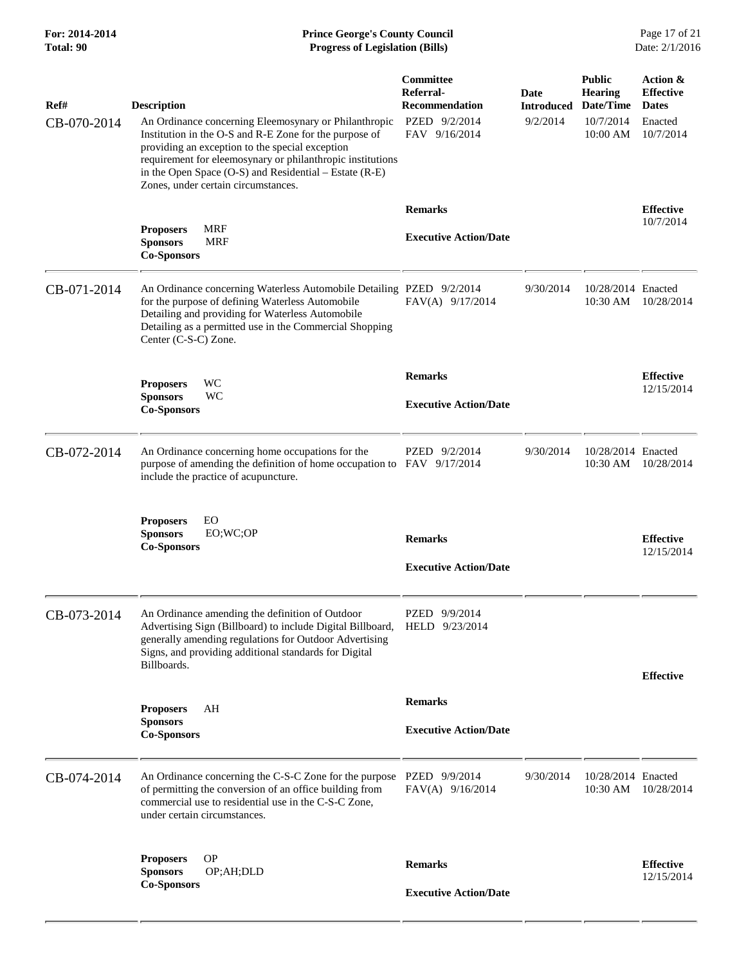| Ref#<br>CB-070-2014 | <b>Description</b><br>An Ordinance concerning Eleemosynary or Philanthropic<br>Institution in the O-S and R-E Zone for the purpose of<br>providing an exception to the special exception<br>requirement for eleemosynary or philanthropic institutions<br>in the Open Space (O-S) and Residential – Estate (R-E)<br>Zones, under certain circumstances. | Committee<br>Referral-<br><b>Recommendation</b><br>PZED 9/2/2014<br>FAV 9/16/2014 | Date<br><b>Introduced</b><br>9/2/2014 | <b>Public</b><br><b>Hearing</b><br>Date/Time<br>10/7/2014<br>10:00 AM | Action &<br><b>Effective</b><br><b>Dates</b><br>Enacted<br>10/7/2014 |
|---------------------|---------------------------------------------------------------------------------------------------------------------------------------------------------------------------------------------------------------------------------------------------------------------------------------------------------------------------------------------------------|-----------------------------------------------------------------------------------|---------------------------------------|-----------------------------------------------------------------------|----------------------------------------------------------------------|
|                     | <b>MRF</b><br><b>Proposers</b><br><b>Sponsors</b><br><b>MRF</b><br><b>Co-Sponsors</b>                                                                                                                                                                                                                                                                   | <b>Remarks</b><br><b>Executive Action/Date</b>                                    |                                       |                                                                       | <b>Effective</b><br>10/7/2014                                        |
| CB-071-2014         | An Ordinance concerning Waterless Automobile Detailing PZED 9/2/2014<br>for the purpose of defining Waterless Automobile<br>Detailing and providing for Waterless Automobile<br>Detailing as a permitted use in the Commercial Shopping<br>Center (C-S-C) Zone.                                                                                         | FAV(A) 9/17/2014                                                                  | 9/30/2014                             | 10/28/2014 Enacted<br>10:30 AM                                        | 10/28/2014                                                           |
|                     | <b>WC</b><br><b>Proposers</b><br><b>Sponsors</b><br>WC<br><b>Co-Sponsors</b>                                                                                                                                                                                                                                                                            | <b>Remarks</b><br><b>Executive Action/Date</b>                                    |                                       |                                                                       | <b>Effective</b><br>12/15/2014                                       |
| CB-072-2014         | An Ordinance concerning home occupations for the<br>purpose of amending the definition of home occupation to FAV 9/17/2014<br>include the practice of acupuncture.                                                                                                                                                                                      | PZED 9/2/2014                                                                     | 9/30/2014                             | 10/28/2014 Enacted<br>10:30 AM                                        | 10/28/2014                                                           |
|                     | EO<br><b>Proposers</b><br>EO;WC;OP<br><b>Sponsors</b><br><b>Co-Sponsors</b>                                                                                                                                                                                                                                                                             | <b>Remarks</b><br><b>Executive Action/Date</b>                                    |                                       |                                                                       | <b>Effective</b><br>12/15/2014                                       |
| CB-073-2014         | An Ordinance amending the definition of Outdoor<br>Advertising Sign (Billboard) to include Digital Billboard,<br>generally amending regulations for Outdoor Advertising<br>Signs, and providing additional standards for Digital<br>Billboards.                                                                                                         | PZED 9/9/2014<br>HELD 9/23/2014                                                   |                                       |                                                                       | <b>Effective</b>                                                     |
|                     | AH<br><b>Proposers</b><br><b>Sponsors</b><br><b>Co-Sponsors</b>                                                                                                                                                                                                                                                                                         | <b>Remarks</b><br><b>Executive Action/Date</b>                                    |                                       |                                                                       |                                                                      |
| CB-074-2014         | An Ordinance concerning the C-S-C Zone for the purpose PZED 9/9/2014<br>of permitting the conversion of an office building from<br>commercial use to residential use in the C-S-C Zone,<br>under certain circumstances.                                                                                                                                 | $FAV(A)$ 9/16/2014                                                                | 9/30/2014                             | 10/28/2014 Enacted<br>10:30 AM                                        | 10/28/2014                                                           |
|                     | <b>OP</b><br><b>Proposers</b><br><b>Sponsors</b><br>OP;AH;DLD<br><b>Co-Sponsors</b>                                                                                                                                                                                                                                                                     | <b>Remarks</b><br><b>Executive Action/Date</b>                                    |                                       |                                                                       | <b>Effective</b><br>12/15/2014                                       |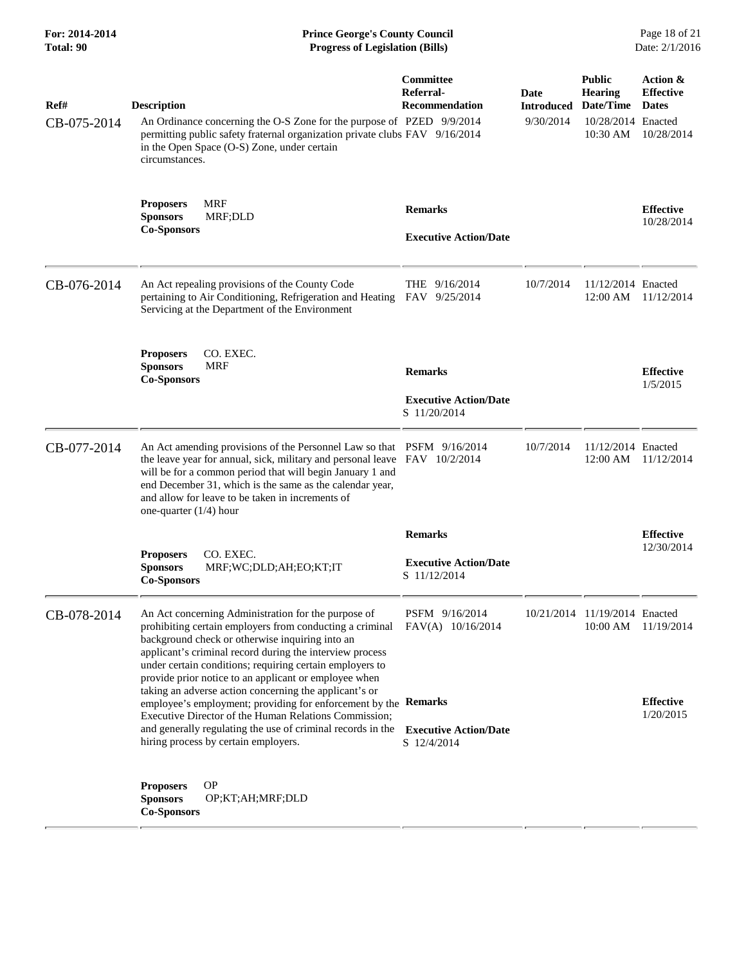| For: 2014-2014<br>Total: 90 | <b>Prince George's County Council</b><br><b>Progress of Legislation (Bills)</b><br>Date: 2/1/2016                                                                                                                                                                                                                                                             |                                                                |                                        |                                                                                |                                                            |
|-----------------------------|---------------------------------------------------------------------------------------------------------------------------------------------------------------------------------------------------------------------------------------------------------------------------------------------------------------------------------------------------------------|----------------------------------------------------------------|----------------------------------------|--------------------------------------------------------------------------------|------------------------------------------------------------|
| Ref#<br>CB-075-2014         | <b>Description</b><br>An Ordinance concerning the O-S Zone for the purpose of PZED 9/9/2014<br>permitting public safety fraternal organization private clubs FAV 9/16/2014<br>in the Open Space (O-S) Zone, under certain<br>circumstances.                                                                                                                   | <b>Committee</b><br>Referral-<br><b>Recommendation</b>         | Date<br><b>Introduced</b><br>9/30/2014 | <b>Public</b><br><b>Hearing</b><br>Date/Time<br>10/28/2014 Enacted<br>10:30 AM | Action &<br><b>Effective</b><br><b>Dates</b><br>10/28/2014 |
|                             | <b>MRF</b><br><b>Proposers</b><br><b>Sponsors</b><br>MRF;DLD<br><b>Co-Sponsors</b>                                                                                                                                                                                                                                                                            | <b>Remarks</b><br><b>Executive Action/Date</b>                 |                                        |                                                                                | <b>Effective</b><br>10/28/2014                             |
| CB-076-2014                 | An Act repealing provisions of the County Code<br>pertaining to Air Conditioning, Refrigeration and Heating FAV 9/25/2014<br>Servicing at the Department of the Environment                                                                                                                                                                                   | THE 9/16/2014                                                  | 10/7/2014                              | 11/12/2014 Enacted                                                             | 12:00 AM 11/12/2014                                        |
|                             | CO. EXEC.<br><b>Proposers</b><br><b>Sponsors</b><br><b>MRF</b><br><b>Co-Sponsors</b>                                                                                                                                                                                                                                                                          | <b>Remarks</b><br><b>Executive Action/Date</b><br>S 11/20/2014 |                                        |                                                                                | <b>Effective</b><br>1/5/2015                               |
| CB-077-2014                 | An Act amending provisions of the Personnel Law so that PSFM 9/16/2014<br>the leave year for annual, sick, military and personal leave FAV 10/2/2014<br>will be for a common period that will begin January 1 and<br>end December 31, which is the same as the calendar year,<br>and allow for leave to be taken in increments of<br>one-quarter $(1/4)$ hour |                                                                | 10/7/2014                              | 11/12/2014 Enacted                                                             | 12:00 AM 11/12/2014                                        |
|                             |                                                                                                                                                                                                                                                                                                                                                               | <b>Remarks</b>                                                 |                                        |                                                                                | <b>Effective</b>                                           |
|                             | CO. EXEC.<br><b>Proposers</b><br>MRF;WC;DLD;AH;EO;KT;IT<br><b>Sponsors</b><br><b>Co-Sponsors</b>                                                                                                                                                                                                                                                              | <b>Executive Action/Date</b><br>S 11/12/2014                   |                                        |                                                                                | 12/30/2014                                                 |
| CB-078-2014                 | An Act concerning Administration for the purpose of<br>prohibiting certain employers from conducting a criminal<br>background check or otherwise inquiring into an<br>applicant's criminal record during the interview process<br>under certain conditions; requiring certain employers to<br>provide prior notice to an applicant or employee when           | PSFM 9/16/2014<br>FAV(A) 10/16/2014                            |                                        | 10/21/2014 11/19/2014 Enacted                                                  | 10:00 AM 11/19/2014                                        |
|                             | taking an adverse action concerning the applicant's or<br>employee's employment; providing for enforcement by the Remarks<br>Executive Director of the Human Relations Commission;<br>and generally regulating the use of criminal records in the<br>hiring process by certain employers.                                                                     | <b>Executive Action/Date</b><br>S 12/4/2014                    |                                        |                                                                                | <b>Effective</b><br>1/20/2015                              |
|                             | <b>OP</b><br><b>Proposers</b><br><b>Sponsors</b><br>OP;KT;AH;MRF;DLD<br><b>Co-Sponsors</b>                                                                                                                                                                                                                                                                    |                                                                |                                        |                                                                                |                                                            |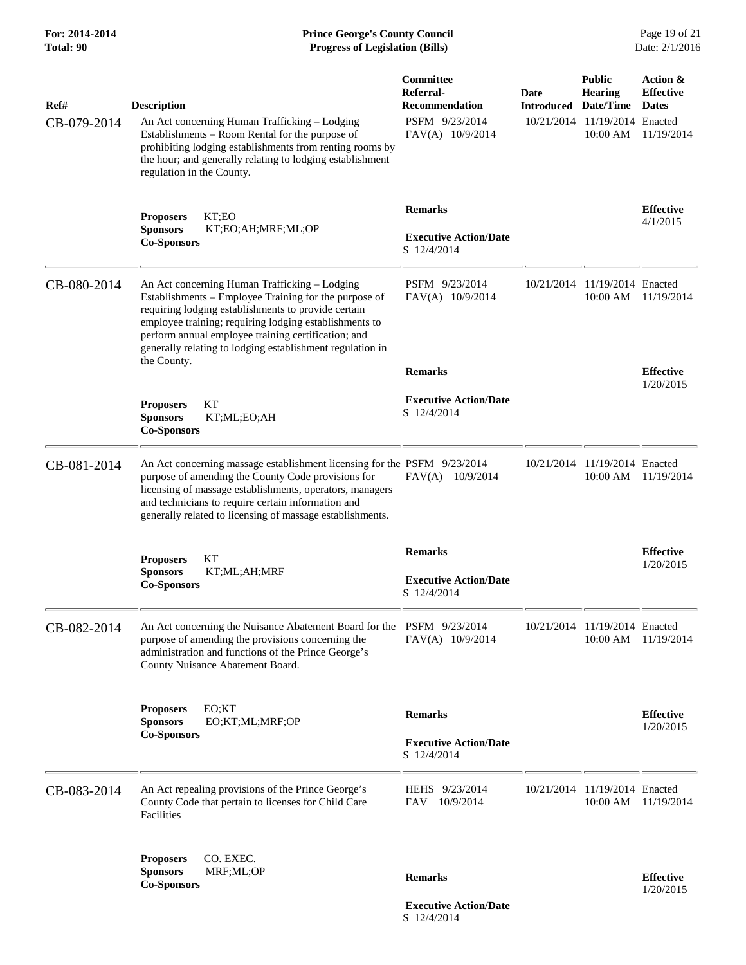## **For: 2014-2014 Prince George's County Council** Page 19 of 21<br> **Prince George's County Council** Page 19 of 21<br> **Progress of Legislation (Bills)** Date: 2/1/2016 **Total: 90 Progress of Legislation (Bills)**

| Ref#        | <b>Description</b>                                                                                                                                                                                                                                                                                                                          | Committee<br>Referral-<br><b>Recommendation</b> | Date<br><b>Introduced</b> | <b>Public</b><br><b>Hearing</b><br>Date/Time | Action &<br><b>Effective</b><br><b>Dates</b> |
|-------------|---------------------------------------------------------------------------------------------------------------------------------------------------------------------------------------------------------------------------------------------------------------------------------------------------------------------------------------------|-------------------------------------------------|---------------------------|----------------------------------------------|----------------------------------------------|
| CB-079-2014 | An Act concerning Human Trafficking - Lodging<br>Establishments - Room Rental for the purpose of<br>prohibiting lodging establishments from renting rooms by<br>the hour; and generally relating to lodging establishment<br>regulation in the County.                                                                                      | PSFM 9/23/2014<br>FAV(A) 10/9/2014              |                           | 10/21/2014 11/19/2014 Enacted<br>10:00 AM    | 11/19/2014                                   |
|             | KT;EO<br><b>Proposers</b>                                                                                                                                                                                                                                                                                                                   | <b>Remarks</b>                                  |                           |                                              | <b>Effective</b><br>4/1/2015                 |
|             | <b>Sponsors</b><br>KT;EO;AH;MRF;ML;OP<br><b>Co-Sponsors</b>                                                                                                                                                                                                                                                                                 | <b>Executive Action/Date</b><br>S 12/4/2014     |                           |                                              |                                              |
| CB-080-2014 | An Act concerning Human Trafficking - Lodging<br>Establishments - Employee Training for the purpose of<br>requiring lodging establishments to provide certain<br>employee training; requiring lodging establishments to<br>perform annual employee training certification; and<br>generally relating to lodging establishment regulation in | PSFM 9/23/2014<br>FAV(A) 10/9/2014              | 10/21/2014                | 11/19/2014 Enacted<br>10:00 AM               | 11/19/2014                                   |
|             | the County.                                                                                                                                                                                                                                                                                                                                 | <b>Remarks</b>                                  |                           |                                              | <b>Effective</b><br>1/20/2015                |
|             | KТ<br><b>Proposers</b><br><b>Sponsors</b><br>KT;ML;EO;AH<br><b>Co-Sponsors</b>                                                                                                                                                                                                                                                              | <b>Executive Action/Date</b><br>S 12/4/2014     |                           |                                              |                                              |
| CB-081-2014 | An Act concerning massage establishment licensing for the PSFM 9/23/2014<br>purpose of amending the County Code provisions for<br>licensing of massage establishments, operators, managers<br>and technicians to require certain information and<br>generally related to licensing of massage establishments.                               | $FAV(A)$ 10/9/2014                              | 10/21/2014                | 11/19/2014 Enacted<br>10:00 AM               | 11/19/2014                                   |
|             | KT<br><b>Proposers</b>                                                                                                                                                                                                                                                                                                                      | <b>Remarks</b>                                  |                           |                                              | <b>Effective</b><br>1/20/2015                |
|             | <b>Sponsors</b><br>KT;ML;AH;MRF<br><b>Co-Sponsors</b>                                                                                                                                                                                                                                                                                       | <b>Executive Action/Date</b><br>S 12/4/2014     |                           |                                              |                                              |
| CB-082-2014 | An Act concerning the Nuisance Abatement Board for the PSFM 9/23/2014<br>purpose of amending the provisions concerning the<br>administration and functions of the Prince George's<br>County Nuisance Abatement Board.                                                                                                                       | FAV(A) 10/9/2014                                |                           | 10/21/2014 11/19/2014 Enacted<br>10:00 AM    | 11/19/2014                                   |
|             | EO;KT<br><b>Proposers</b><br><b>Sponsors</b><br>EO;KT;ML;MRF;OP                                                                                                                                                                                                                                                                             | <b>Remarks</b>                                  |                           |                                              | <b>Effective</b>                             |
|             | <b>Co-Sponsors</b>                                                                                                                                                                                                                                                                                                                          | <b>Executive Action/Date</b><br>S 12/4/2014     |                           |                                              | 1/20/2015                                    |
| CB-083-2014 | An Act repealing provisions of the Prince George's<br>County Code that pertain to licenses for Child Care<br>Facilities                                                                                                                                                                                                                     | HEHS 9/23/2014<br>10/9/2014<br>FAV              | 10/21/2014                | 11/19/2014 Enacted<br>10:00 AM               | 11/19/2014                                   |
|             | CO. EXEC.<br><b>Proposers</b><br><b>Sponsors</b><br>MRF;ML;OP                                                                                                                                                                                                                                                                               |                                                 |                           |                                              |                                              |
|             | <b>Co-Sponsors</b>                                                                                                                                                                                                                                                                                                                          | <b>Remarks</b>                                  |                           |                                              | <b>Effective</b><br>1/20/2015                |
|             |                                                                                                                                                                                                                                                                                                                                             | <b>Executive Action/Date</b><br>S 12/4/2014     |                           |                                              |                                              |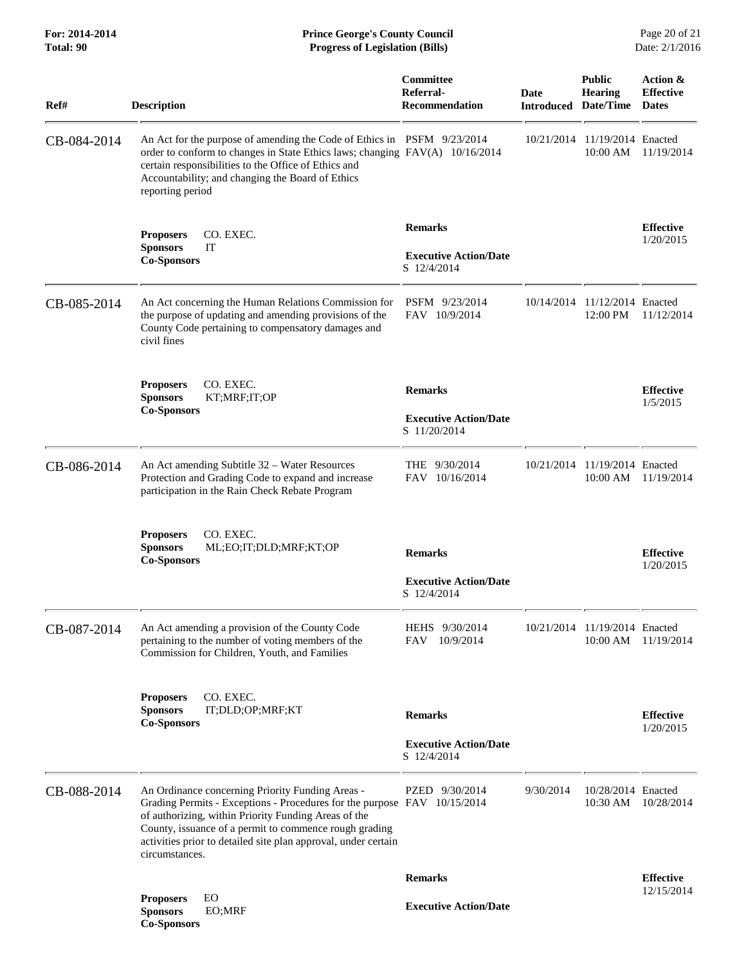**For: 2014-2014 Prince George's County Council** Page 20 of 21<br> **Prince George's County Council** Page 20 of 21<br> **Progress of Legislation (Bills)** Date: 2/1/2016 **Total: 90 Progress of Legislation (Bills)** 

| Ref#        | <b>Description</b>                                                                                                                                                                                                                                                                                                                 | Committee<br>Referral-<br><b>Recommendation</b>                | Date<br><b>Introduced Date/Time</b> | <b>Public</b><br>Hearing                  | Action &<br><b>Effective</b><br><b>Dates</b> |
|-------------|------------------------------------------------------------------------------------------------------------------------------------------------------------------------------------------------------------------------------------------------------------------------------------------------------------------------------------|----------------------------------------------------------------|-------------------------------------|-------------------------------------------|----------------------------------------------|
| CB-084-2014 | An Act for the purpose of amending the Code of Ethics in PSFM 9/23/2014<br>order to conform to changes in State Ethics laws; changing FAV(A) 10/16/2014<br>certain responsibilities to the Office of Ethics and<br>Accountability; and changing the Board of Ethics<br>reporting period                                            |                                                                | 10/21/2014                          | $11/19/2014$ Enacted<br>10:00 AM          | 11/19/2014                                   |
|             | <b>Proposers</b><br>CO. EXEC.<br><b>Sponsors</b><br>IT<br><b>Co-Sponsors</b>                                                                                                                                                                                                                                                       | <b>Remarks</b><br><b>Executive Action/Date</b><br>S 12/4/2014  |                                     |                                           | <b>Effective</b><br>1/20/2015                |
| CB-085-2014 | An Act concerning the Human Relations Commission for<br>the purpose of updating and amending provisions of the<br>County Code pertaining to compensatory damages and<br>civil fines                                                                                                                                                | PSFM 9/23/2014<br>FAV 10/9/2014                                | 10/14/2014                          | 11/12/2014 Enacted<br>12:00 PM            | 11/12/2014                                   |
|             | CO. EXEC.<br><b>Proposers</b><br>KT;MRF;IT;OP<br><b>Sponsors</b><br><b>Co-Sponsors</b>                                                                                                                                                                                                                                             | <b>Remarks</b><br><b>Executive Action/Date</b><br>S 11/20/2014 |                                     |                                           | <b>Effective</b><br>1/5/2015                 |
| CB-086-2014 | An Act amending Subtitle 32 – Water Resources<br>Protection and Grading Code to expand and increase<br>participation in the Rain Check Rebate Program                                                                                                                                                                              | THE $9/30/2014$<br>FAV 10/16/2014                              |                                     | 10/21/2014 11/19/2014 Enacted<br>10:00 AM | 11/19/2014                                   |
|             | CO. EXEC.<br><b>Proposers</b><br><b>Sponsors</b><br>ML;EO;IT;DLD;MRF;KT;OP<br><b>Co-Sponsors</b>                                                                                                                                                                                                                                   | <b>Remarks</b><br><b>Executive Action/Date</b><br>S 12/4/2014  |                                     |                                           | <b>Effective</b><br>1/20/2015                |
| CB-087-2014 | An Act amending a provision of the County Code<br>pertaining to the number of voting members of the<br>Commission for Children, Youth, and Families                                                                                                                                                                                | HEHS 9/30/2014<br>10/9/2014<br>FAV                             |                                     | 10/21/2014 11/19/2014 Enacted<br>10:00 AM | 11/19/2014                                   |
|             | CO. EXEC.<br><b>Proposers</b><br><b>Sponsors</b><br>IT;DLD;OP;MRF;KT<br><b>Co-Sponsors</b>                                                                                                                                                                                                                                         | <b>Remarks</b><br><b>Executive Action/Date</b><br>S 12/4/2014  |                                     |                                           | <b>Effective</b><br>1/20/2015                |
| CB-088-2014 | An Ordinance concerning Priority Funding Areas -<br>Grading Permits - Exceptions - Procedures for the purpose FAV 10/15/2014<br>of authorizing, within Priority Funding Areas of the<br>County, issuance of a permit to commence rough grading<br>activities prior to detailed site plan approval, under certain<br>circumstances. | PZED 9/30/2014                                                 | 9/30/2014                           | 10/28/2014 Enacted<br>10:30 AM            | 10/28/2014                                   |
|             | EO<br><b>Proposers</b><br><b>Sponsors</b><br>EO;MRF<br><b>Co-Sponsors</b>                                                                                                                                                                                                                                                          | <b>Remarks</b><br><b>Executive Action/Date</b>                 |                                     |                                           | <b>Effective</b><br>12/15/2014               |